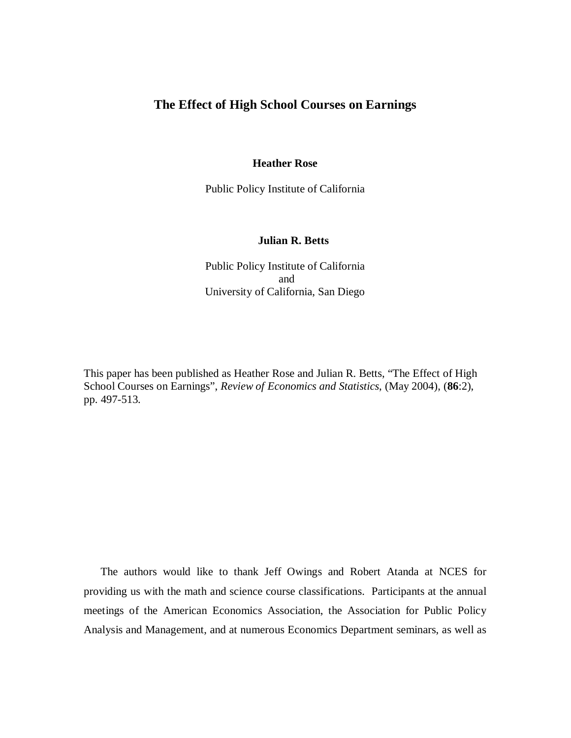# **The Effect of High School Courses on Earnings**

#### **Heather Rose**

Public Policy Institute of California

# **Julian R. Betts**

Public Policy Institute of California and University of California, San Diego

This paper has been published as Heather Rose and Julian R. Betts, "The Effect of High School Courses on Earnings", *Review of Economics and Statistics*, (May 2004), (**86**:2), pp. 497-513.

 The authors would like to thank Jeff Owings and Robert Atanda at NCES for providing us with the math and science course classifications. Participants at the annual meetings of the American Economics Association, the Association for Public Policy Analysis and Management, and at numerous Economics Department seminars, as well as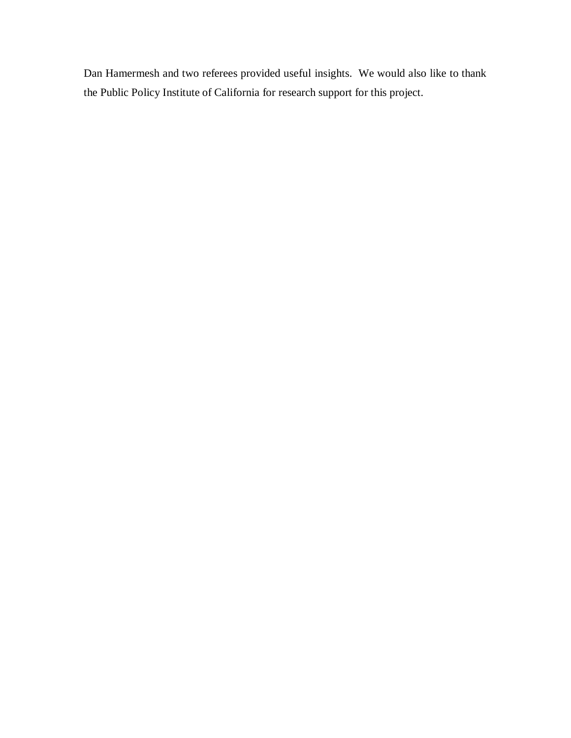Dan Hamermesh and two referees provided useful insights. We would also like to thank the Public Policy Institute of California for research support for this project.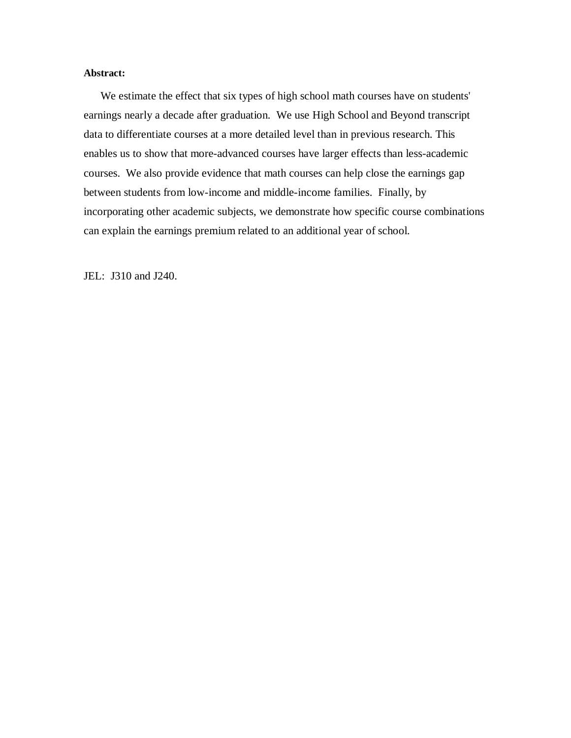#### **Abstract:**

We estimate the effect that six types of high school math courses have on students' earnings nearly a decade after graduation. We use High School and Beyond transcript data to differentiate courses at a more detailed level than in previous research. This enables us to show that more-advanced courses have larger effects than less-academic courses. We also provide evidence that math courses can help close the earnings gap between students from low-income and middle-income families. Finally, by incorporating other academic subjects, we demonstrate how specific course combinations can explain the earnings premium related to an additional year of school.

JEL: J310 and J240.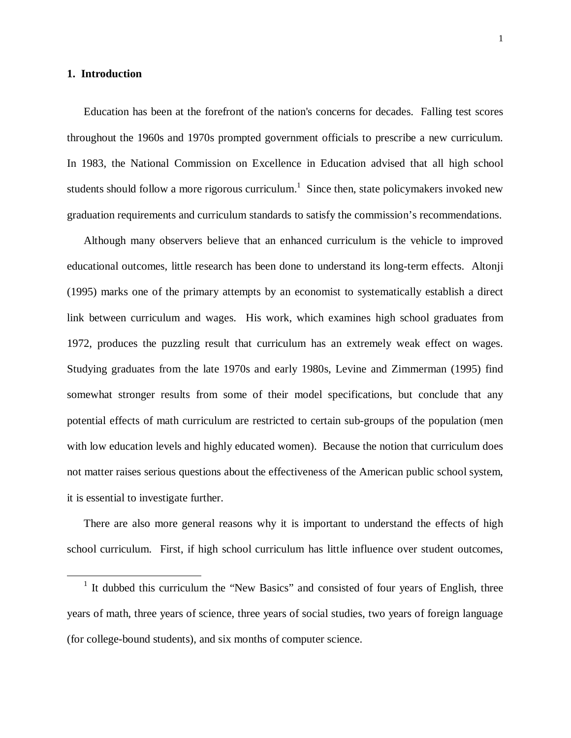#### **1. Introduction**

Education has been at the forefront of the nation's concerns for decades. Falling test scores throughout the 1960s and 1970s prompted government officials to prescribe a new curriculum. In 1983, the National Commission on Excellence in Education advised that all high school students should follow a more rigorous curriculum.<sup>1</sup> Since then, state policymakers invoked new graduation requirements and curriculum standards to satisfy the commission's recommendations.

Although many observers believe that an enhanced curriculum is the vehicle to improved educational outcomes, little research has been done to understand its long-term effects. Altonji (1995) marks one of the primary attempts by an economist to systematically establish a direct link between curriculum and wages. His work, which examines high school graduates from 1972, produces the puzzling result that curriculum has an extremely weak effect on wages. Studying graduates from the late 1970s and early 1980s, Levine and Zimmerman (1995) find somewhat stronger results from some of their model specifications, but conclude that any potential effects of math curriculum are restricted to certain sub-groups of the population (men with low education levels and highly educated women). Because the notion that curriculum does not matter raises serious questions about the effectiveness of the American public school system, it is essential to investigate further.

There are also more general reasons why it is important to understand the effects of high school curriculum. First, if high school curriculum has little influence over student outcomes,

<sup>&</sup>lt;sup>1</sup> It dubbed this curriculum the "New Basics" and consisted of four years of English, three years of math, three years of science, three years of social studies, two years of foreign language (for college-bound students), and six months of computer science.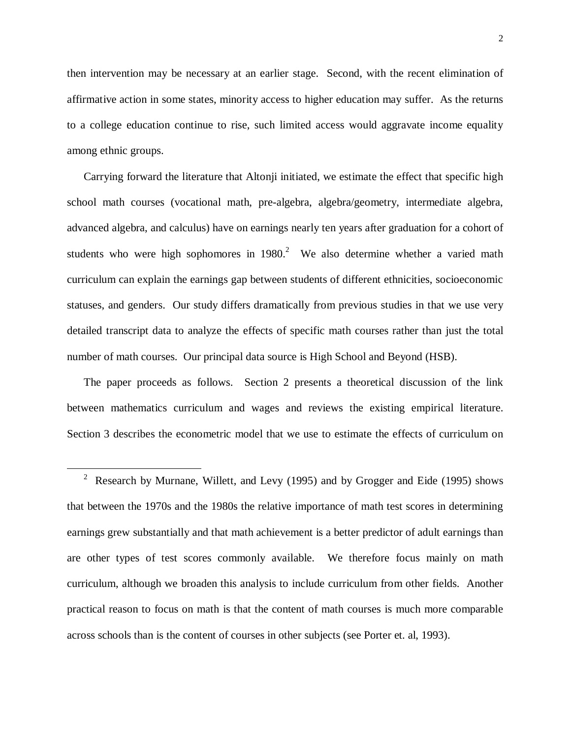then intervention may be necessary at an earlier stage. Second, with the recent elimination of affirmative action in some states, minority access to higher education may suffer. As the returns to a college education continue to rise, such limited access would aggravate income equality among ethnic groups.

Carrying forward the literature that Altonji initiated, we estimate the effect that specific high school math courses (vocational math, pre-algebra, algebra/geometry, intermediate algebra, advanced algebra, and calculus) have on earnings nearly ten years after graduation for a cohort of students who were high sophomores in  $1980<sup>2</sup>$  We also determine whether a varied math curriculum can explain the earnings gap between students of different ethnicities, socioeconomic statuses, and genders. Our study differs dramatically from previous studies in that we use very detailed transcript data to analyze the effects of specific math courses rather than just the total number of math courses. Our principal data source is High School and Beyond (HSB).

The paper proceeds as follows. Section 2 presents a theoretical discussion of the link between mathematics curriculum and wages and reviews the existing empirical literature. Section 3 describes the econometric model that we use to estimate the effects of curriculum on

<sup>&</sup>lt;sup>2</sup> Research by Murnane, Willett, and Levy (1995) and by Grogger and Eide (1995) shows that between the 1970s and the 1980s the relative importance of math test scores in determining earnings grew substantially and that math achievement is a better predictor of adult earnings than are other types of test scores commonly available. We therefore focus mainly on math curriculum, although we broaden this analysis to include curriculum from other fields. Another practical reason to focus on math is that the content of math courses is much more comparable across schools than is the content of courses in other subjects (see Porter et. al, 1993).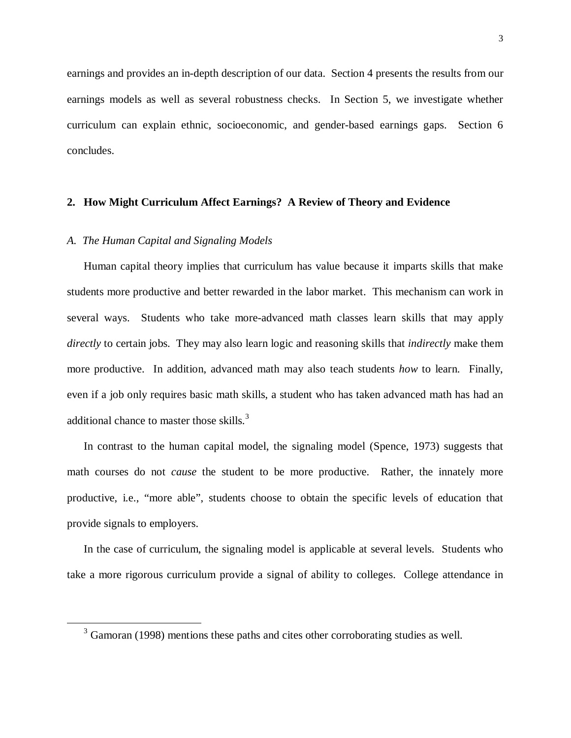earnings and provides an in-depth description of our data. Section 4 presents the results from our earnings models as well as several robustness checks. In Section 5, we investigate whether curriculum can explain ethnic, socioeconomic, and gender-based earnings gaps. Section 6 concludes.

# **2. How Might Curriculum Affect Earnings? A Review of Theory and Evidence**

#### *A. The Human Capital and Signaling Models*

Human capital theory implies that curriculum has value because it imparts skills that make students more productive and better rewarded in the labor market. This mechanism can work in several ways. Students who take more-advanced math classes learn skills that may apply *directly* to certain jobs. They may also learn logic and reasoning skills that *indirectly* make them more productive. In addition, advanced math may also teach students *how* to learn. Finally, even if a job only requires basic math skills, a student who has taken advanced math has had an additional chance to master those skills.<sup>3</sup>

In contrast to the human capital model, the signaling model (Spence, 1973) suggests that math courses do not *cause* the student to be more productive. Rather, the innately more productive, i.e., "more able", students choose to obtain the specific levels of education that provide signals to employers.

In the case of curriculum, the signaling model is applicable at several levels. Students who take a more rigorous curriculum provide a signal of ability to colleges. College attendance in

<sup>&</sup>lt;sup>3</sup> Gamoran (1998) mentions these paths and cites other corroborating studies as well.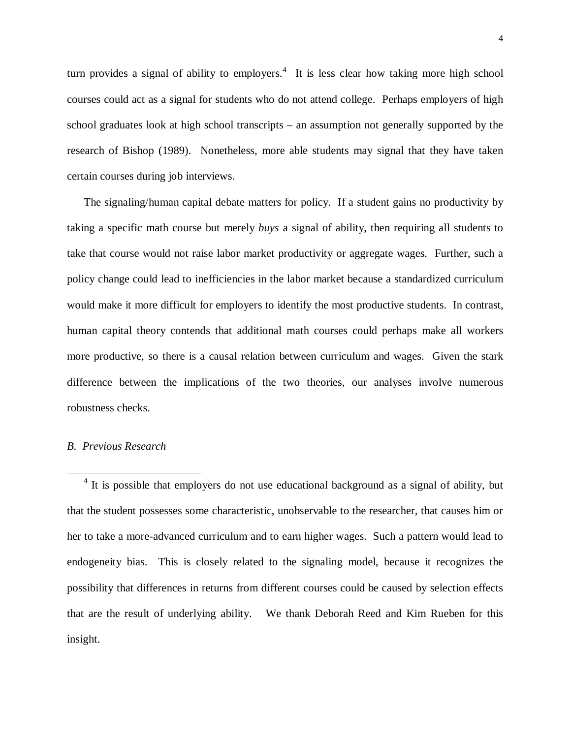turn provides a signal of ability to employers.<sup>4</sup> It is less clear how taking more high school courses could act as a signal for students who do not attend college. Perhaps employers of high school graduates look at high school transcripts – an assumption not generally supported by the research of Bishop (1989). Nonetheless, more able students may signal that they have taken certain courses during job interviews.

The signaling/human capital debate matters for policy. If a student gains no productivity by taking a specific math course but merely *buys* a signal of ability, then requiring all students to take that course would not raise labor market productivity or aggregate wages. Further, such a policy change could lead to inefficiencies in the labor market because a standardized curriculum would make it more difficult for employers to identify the most productive students. In contrast, human capital theory contends that additional math courses could perhaps make all workers more productive, so there is a causal relation between curriculum and wages. Given the stark difference between the implications of the two theories, our analyses involve numerous robustness checks.

### *B. Previous Research*

 $\overline{4}$  $\frac{4}{1}$  It is possible that employers do not use educational background as a signal of ability, but that the student possesses some characteristic, unobservable to the researcher, that causes him or her to take a more-advanced curriculum and to earn higher wages. Such a pattern would lead to endogeneity bias. This is closely related to the signaling model, because it recognizes the possibility that differences in returns from different courses could be caused by selection effects that are the result of underlying ability. We thank Deborah Reed and Kim Rueben for this insight.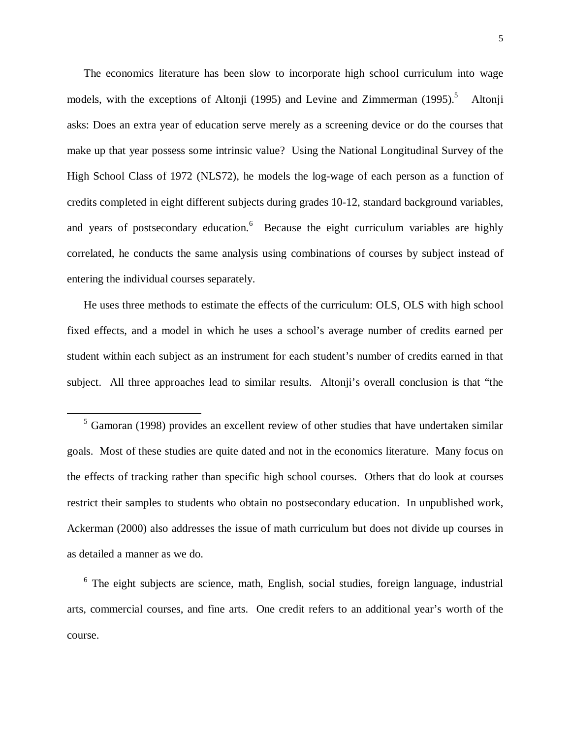The economics literature has been slow to incorporate high school curriculum into wage models, with the exceptions of Altonji (1995) and Levine and Zimmerman (1995).<sup>5</sup> Altonji asks: Does an extra year of education serve merely as a screening device or do the courses that make up that year possess some intrinsic value? Using the National Longitudinal Survey of the High School Class of 1972 (NLS72), he models the log-wage of each person as a function of credits completed in eight different subjects during grades 10-12, standard background variables, and years of postsecondary education.<sup>6</sup> Because the eight curriculum variables are highly correlated, he conducts the same analysis using combinations of courses by subject instead of entering the individual courses separately.

He uses three methods to estimate the effects of the curriculum: OLS, OLS with high school fixed effects, and a model in which he uses a school's average number of credits earned per student within each subject as an instrument for each student's number of credits earned in that subject. All three approaches lead to similar results. Altonji's overall conclusion is that "the

<sup>&</sup>lt;sup>5</sup> Gamoran (1998) provides an excellent review of other studies that have undertaken similar goals. Most of these studies are quite dated and not in the economics literature. Many focus on the effects of tracking rather than specific high school courses. Others that do look at courses restrict their samples to students who obtain no postsecondary education. In unpublished work, Ackerman (2000) also addresses the issue of math curriculum but does not divide up courses in as detailed a manner as we do.

<sup>&</sup>lt;sup>6</sup> The eight subjects are science, math, English, social studies, foreign language, industrial arts, commercial courses, and fine arts. One credit refers to an additional year's worth of the course.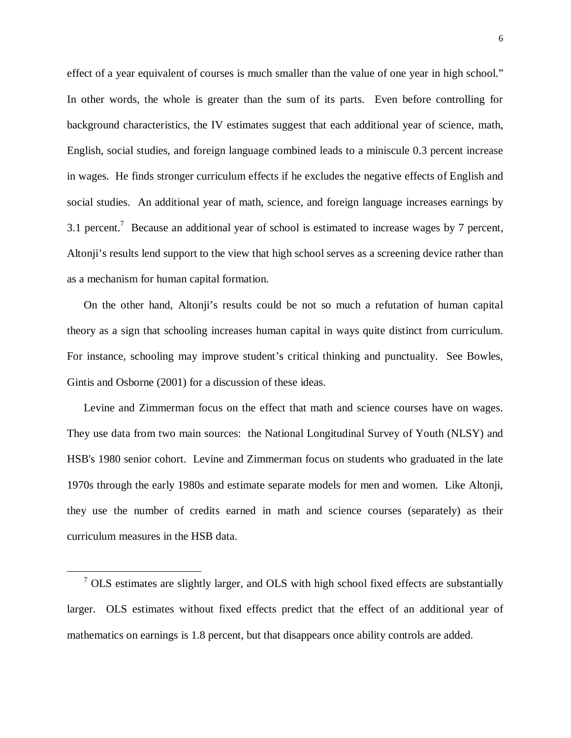effect of a year equivalent of courses is much smaller than the value of one year in high school." In other words, the whole is greater than the sum of its parts. Even before controlling for background characteristics, the IV estimates suggest that each additional year of science, math, English, social studies, and foreign language combined leads to a miniscule 0.3 percent increase in wages. He finds stronger curriculum effects if he excludes the negative effects of English and social studies. An additional year of math, science, and foreign language increases earnings by 3.1 percent.<sup>7</sup> Because an additional year of school is estimated to increase wages by 7 percent, Altonji's results lend support to the view that high school serves as a screening device rather than as a mechanism for human capital formation.

On the other hand, Altonji's results could be not so much a refutation of human capital theory as a sign that schooling increases human capital in ways quite distinct from curriculum. For instance, schooling may improve student's critical thinking and punctuality. See Bowles, Gintis and Osborne (2001) for a discussion of these ideas.

Levine and Zimmerman focus on the effect that math and science courses have on wages. They use data from two main sources: the National Longitudinal Survey of Youth (NLSY) and HSB's 1980 senior cohort. Levine and Zimmerman focus on students who graduated in the late 1970s through the early 1980s and estimate separate models for men and women. Like Altonji, they use the number of credits earned in math and science courses (separately) as their curriculum measures in the HSB data.

<sup>&</sup>lt;sup>7</sup> OLS estimates are slightly larger, and OLS with high school fixed effects are substantially larger. OLS estimates without fixed effects predict that the effect of an additional year of mathematics on earnings is 1.8 percent, but that disappears once ability controls are added.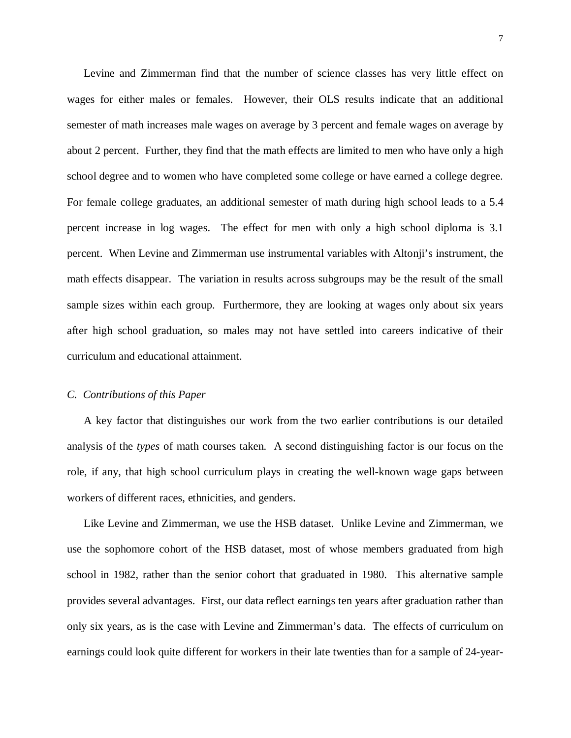Levine and Zimmerman find that the number of science classes has very little effect on wages for either males or females. However, their OLS results indicate that an additional semester of math increases male wages on average by 3 percent and female wages on average by about 2 percent. Further, they find that the math effects are limited to men who have only a high school degree and to women who have completed some college or have earned a college degree. For female college graduates, an additional semester of math during high school leads to a 5.4 percent increase in log wages. The effect for men with only a high school diploma is 3.1 percent. When Levine and Zimmerman use instrumental variables with Altonji's instrument, the math effects disappear. The variation in results across subgroups may be the result of the small sample sizes within each group. Furthermore, they are looking at wages only about six years after high school graduation, so males may not have settled into careers indicative of their curriculum and educational attainment.

# *C. Contributions of this Paper*

A key factor that distinguishes our work from the two earlier contributions is our detailed analysis of the *types* of math courses taken. A second distinguishing factor is our focus on the role, if any, that high school curriculum plays in creating the well-known wage gaps between workers of different races, ethnicities, and genders.

Like Levine and Zimmerman, we use the HSB dataset. Unlike Levine and Zimmerman, we use the sophomore cohort of the HSB dataset, most of whose members graduated from high school in 1982, rather than the senior cohort that graduated in 1980. This alternative sample provides several advantages. First, our data reflect earnings ten years after graduation rather than only six years, as is the case with Levine and Zimmerman's data. The effects of curriculum on earnings could look quite different for workers in their late twenties than for a sample of 24-year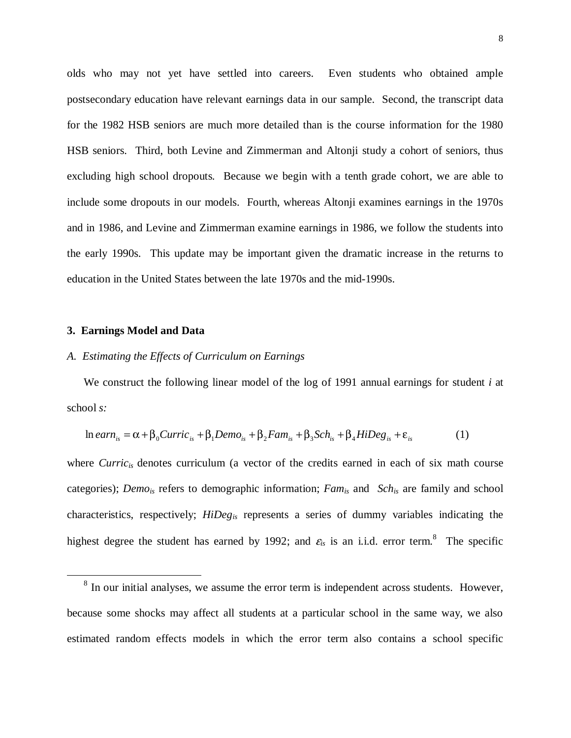olds who may not yet have settled into careers. Even students who obtained ample postsecondary education have relevant earnings data in our sample. Second, the transcript data for the 1982 HSB seniors are much more detailed than is the course information for the 1980 HSB seniors. Third, both Levine and Zimmerman and Altonji study a cohort of seniors, thus excluding high school dropouts. Because we begin with a tenth grade cohort, we are able to include some dropouts in our models. Fourth, whereas Altonji examines earnings in the 1970s and in 1986, and Levine and Zimmerman examine earnings in 1986, we follow the students into the early 1990s. This update may be important given the dramatic increase in the returns to education in the United States between the late 1970s and the mid-1990s.

#### **3. Earnings Model and Data**

#### *A. Estimating the Effects of Curriculum on Earnings*

We construct the following linear model of the log of 1991 annual earnings for student *i* at school *s:*

$$
\ln \text{earn}_{is} = \alpha + \beta_0 \text{Curric}_{is} + \beta_1 \text{Demo}_{is} + \beta_2 \text{Fam}_{is} + \beta_3 \text{Sch}_{is} + \beta_4 \text{HiDeg}_{is} + \varepsilon_{is} \tag{1}
$$

where *Curric<sub>is</sub>* denotes curriculum (a vector of the credits earned in each of six math course categories); *Demo<sub>is</sub>* refers to demographic information; *Fam<sub>is</sub>* and *Sch<sub>is</sub>* are family and school characteristics, respectively; *HiDegis* represents a series of dummy variables indicating the highest degree the student has earned by 1992; and  $\varepsilon$ <sub>is</sub> is an i.i.d. error term.<sup>8</sup> The specific

<sup>&</sup>lt;sup>8</sup> In our initial analyses, we assume the error term is independent across students. However, because some shocks may affect all students at a particular school in the same way, we also estimated random effects models in which the error term also contains a school specific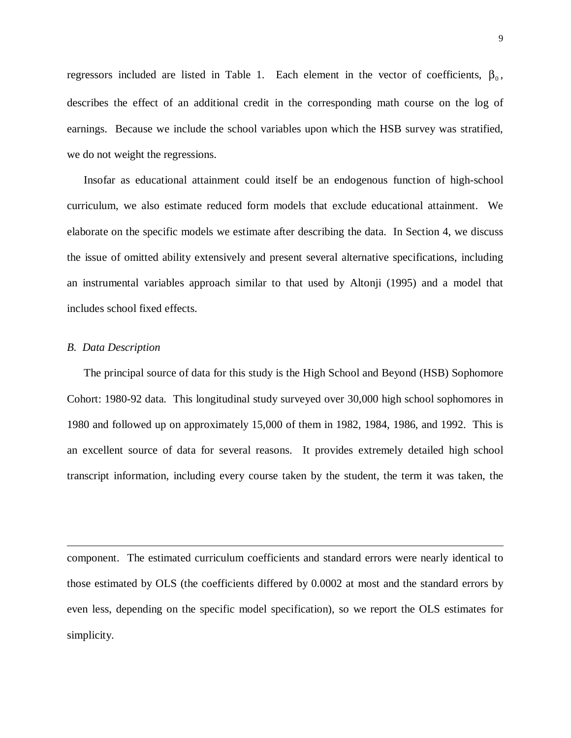regressors included are listed in Table 1. Each element in the vector of coefficients,  $β_0$ , describes the effect of an additional credit in the corresponding math course on the log of earnings. Because we include the school variables upon which the HSB survey was stratified, we do not weight the regressions.

Insofar as educational attainment could itself be an endogenous function of high-school curriculum, we also estimate reduced form models that exclude educational attainment. We elaborate on the specific models we estimate after describing the data. In Section 4, we discuss the issue of omitted ability extensively and present several alternative specifications, including an instrumental variables approach similar to that used by Altonji (1995) and a model that includes school fixed effects.

#### *B. Data Description*

-

The principal source of data for this study is the High School and Beyond (HSB) Sophomore Cohort: 1980-92 data. This longitudinal study surveyed over 30,000 high school sophomores in 1980 and followed up on approximately 15,000 of them in 1982, 1984, 1986, and 1992. This is an excellent source of data for several reasons. It provides extremely detailed high school transcript information, including every course taken by the student, the term it was taken, the

component. The estimated curriculum coefficients and standard errors were nearly identical to those estimated by OLS (the coefficients differed by 0.0002 at most and the standard errors by even less, depending on the specific model specification), so we report the OLS estimates for simplicity.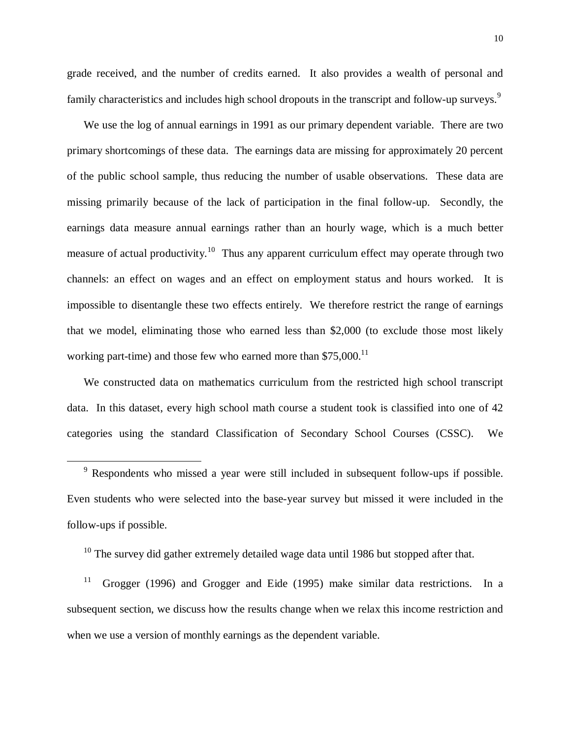grade received, and the number of credits earned. It also provides a wealth of personal and family characteristics and includes high school dropouts in the transcript and follow-up surveys.<sup>9</sup>

We use the log of annual earnings in 1991 as our primary dependent variable. There are two primary shortcomings of these data. The earnings data are missing for approximately 20 percent of the public school sample, thus reducing the number of usable observations. These data are missing primarily because of the lack of participation in the final follow-up. Secondly, the earnings data measure annual earnings rather than an hourly wage, which is a much better measure of actual productivity.<sup>10</sup> Thus any apparent curriculum effect may operate through two channels: an effect on wages and an effect on employment status and hours worked. It is impossible to disentangle these two effects entirely. We therefore restrict the range of earnings that we model, eliminating those who earned less than \$2,000 (to exclude those most likely working part-time) and those few who earned more than  $$75,000$ .<sup>11</sup>

We constructed data on mathematics curriculum from the restricted high school transcript data. In this dataset, every high school math course a student took is classified into one of 42 categories using the standard Classification of Secondary School Courses (CSSC). We

 $10$  The survey did gather extremely detailed wage data until 1986 but stopped after that.

<sup>11</sup> Grogger (1996) and Grogger and Eide (1995) make similar data restrictions. In a subsequent section, we discuss how the results change when we relax this income restriction and when we use a version of monthly earnings as the dependent variable.

 <sup>9</sup> Respondents who missed a year were still included in subsequent follow-ups if possible. Even students who were selected into the base-year survey but missed it were included in the follow-ups if possible.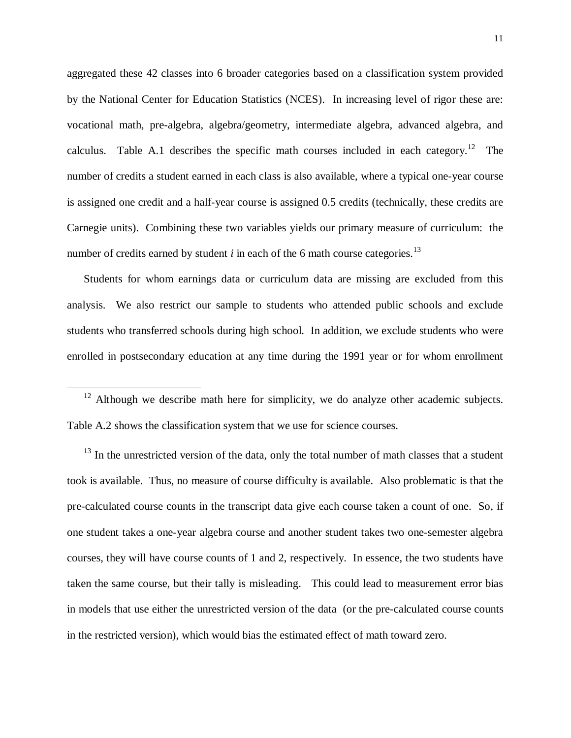aggregated these 42 classes into 6 broader categories based on a classification system provided by the National Center for Education Statistics (NCES). In increasing level of rigor these are: vocational math, pre-algebra, algebra/geometry, intermediate algebra, advanced algebra, and calculus. Table A.1 describes the specific math courses included in each category.<sup>12</sup> The number of credits a student earned in each class is also available, where a typical one-year course is assigned one credit and a half-year course is assigned 0.5 credits (technically, these credits are Carnegie units). Combining these two variables yields our primary measure of curriculum: the number of credits earned by student  $i$  in each of the 6 math course categories.<sup>13</sup>

Students for whom earnings data or curriculum data are missing are excluded from this analysis. We also restrict our sample to students who attended public schools and exclude students who transferred schools during high school. In addition, we exclude students who were enrolled in postsecondary education at any time during the 1991 year or for whom enrollment

 $13$  In the unrestricted version of the data, only the total number of math classes that a student took is available. Thus, no measure of course difficulty is available. Also problematic is that the pre-calculated course counts in the transcript data give each course taken a count of one. So, if one student takes a one-year algebra course and another student takes two one-semester algebra courses, they will have course counts of 1 and 2, respectively. In essence, the two students have taken the same course, but their tally is misleading. This could lead to measurement error bias in models that use either the unrestricted version of the data (or the pre-calculated course counts in the restricted version), which would bias the estimated effect of math toward zero.

 $12$  Although we describe math here for simplicity, we do analyze other academic subjects. Table A.2 shows the classification system that we use for science courses.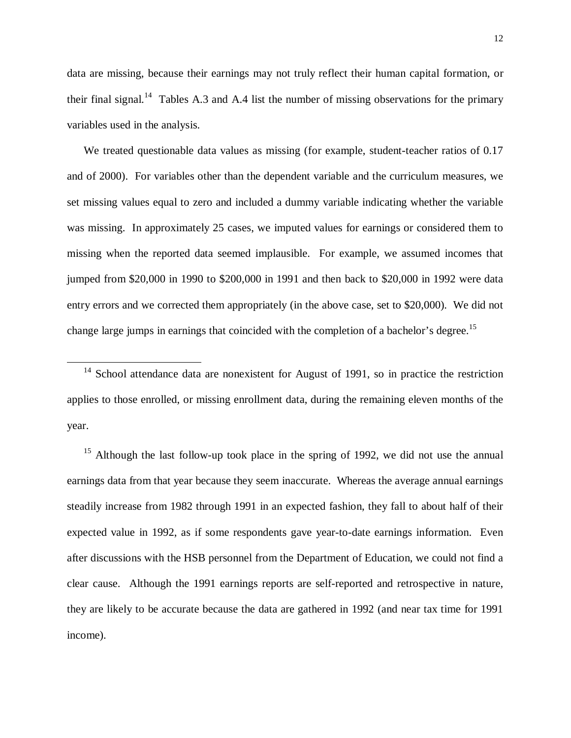data are missing, because their earnings may not truly reflect their human capital formation, or their final signal.<sup>14</sup> Tables A.3 and A.4 list the number of missing observations for the primary variables used in the analysis.

We treated questionable data values as missing (for example, student-teacher ratios of 0.17 and of 2000). For variables other than the dependent variable and the curriculum measures, we set missing values equal to zero and included a dummy variable indicating whether the variable was missing. In approximately 25 cases, we imputed values for earnings or considered them to missing when the reported data seemed implausible. For example, we assumed incomes that jumped from \$20,000 in 1990 to \$200,000 in 1991 and then back to \$20,000 in 1992 were data entry errors and we corrected them appropriately (in the above case, set to \$20,000). We did not change large jumps in earnings that coincided with the completion of a bachelor's degree.<sup>15</sup>

<sup>15</sup> Although the last follow-up took place in the spring of 1992, we did not use the annual earnings data from that year because they seem inaccurate. Whereas the average annual earnings steadily increase from 1982 through 1991 in an expected fashion, they fall to about half of their expected value in 1992, as if some respondents gave year-to-date earnings information. Even after discussions with the HSB personnel from the Department of Education, we could not find a clear cause. Although the 1991 earnings reports are self-reported and retrospective in nature, they are likely to be accurate because the data are gathered in 1992 (and near tax time for 1991 income).

 $14$  School attendance data are nonexistent for August of 1991, so in practice the restriction applies to those enrolled, or missing enrollment data, during the remaining eleven months of the year.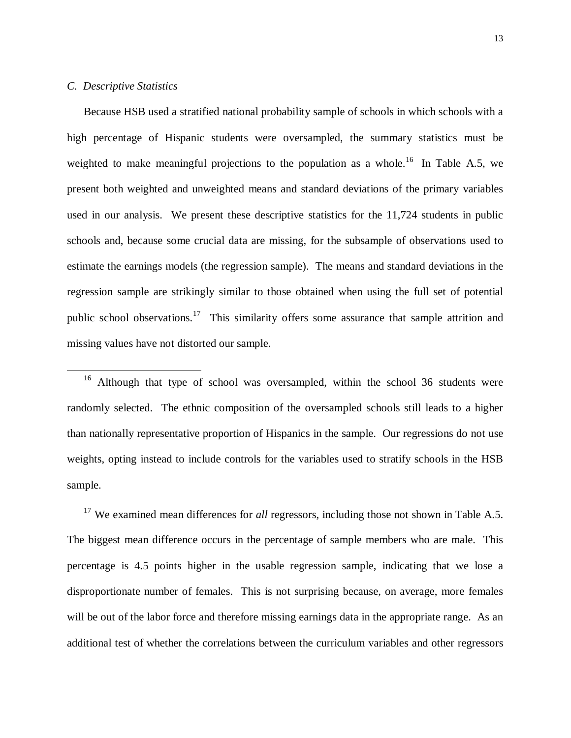# *C. Descriptive Statistics*

Because HSB used a stratified national probability sample of schools in which schools with a high percentage of Hispanic students were oversampled, the summary statistics must be weighted to make meaningful projections to the population as a whole.<sup>16</sup> In Table A.5, we present both weighted and unweighted means and standard deviations of the primary variables used in our analysis. We present these descriptive statistics for the 11,724 students in public schools and, because some crucial data are missing, for the subsample of observations used to estimate the earnings models (the regression sample). The means and standard deviations in the regression sample are strikingly similar to those obtained when using the full set of potential public school observations.<sup>17</sup> This similarity offers some assurance that sample attrition and missing values have not distorted our sample.

<sup>16</sup> Although that type of school was oversampled, within the school 36 students were randomly selected. The ethnic composition of the oversampled schools still leads to a higher than nationally representative proportion of Hispanics in the sample. Our regressions do not use weights, opting instead to include controls for the variables used to stratify schools in the HSB sample.

<sup>17</sup> We examined mean differences for *all* regressors, including those not shown in Table A.5. The biggest mean difference occurs in the percentage of sample members who are male. This percentage is 4.5 points higher in the usable regression sample, indicating that we lose a disproportionate number of females. This is not surprising because, on average, more females will be out of the labor force and therefore missing earnings data in the appropriate range. As an additional test of whether the correlations between the curriculum variables and other regressors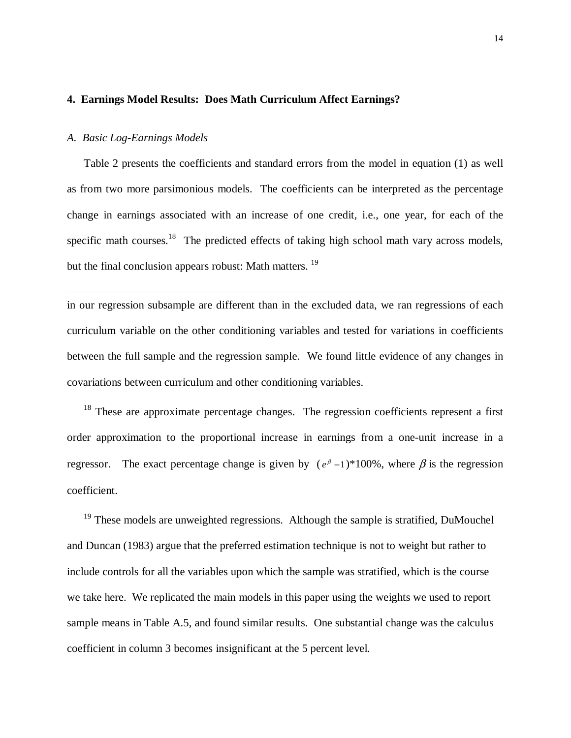### **4. Earnings Model Results: Does Math Curriculum Affect Earnings?**

## *A. Basic Log-Earnings Models*

-

Table 2 presents the coefficients and standard errors from the model in equation (1) as well as from two more parsimonious models. The coefficients can be interpreted as the percentage change in earnings associated with an increase of one credit, i.e., one year, for each of the specific math courses.<sup>18</sup> The predicted effects of taking high school math vary across models, but the final conclusion appears robust: Math matters. <sup>19</sup>

in our regression subsample are different than in the excluded data, we ran regressions of each curriculum variable on the other conditioning variables and tested for variations in coefficients between the full sample and the regression sample. We found little evidence of any changes in covariations between curriculum and other conditioning variables.

 $18$  These are approximate percentage changes. The regression coefficients represent a first order approximation to the proportional increase in earnings from a one-unit increase in a regressor. The exact percentage change is given by  $(e^{\beta}-1)$  \*100%, where  $\beta$  is the regression coefficient.

<sup>19</sup> These models are unweighted regressions. Although the sample is stratified, DuMouchel and Duncan (1983) argue that the preferred estimation technique is not to weight but rather to include controls for all the variables upon which the sample was stratified, which is the course we take here. We replicated the main models in this paper using the weights we used to report sample means in Table A.5, and found similar results. One substantial change was the calculus coefficient in column 3 becomes insignificant at the 5 percent level.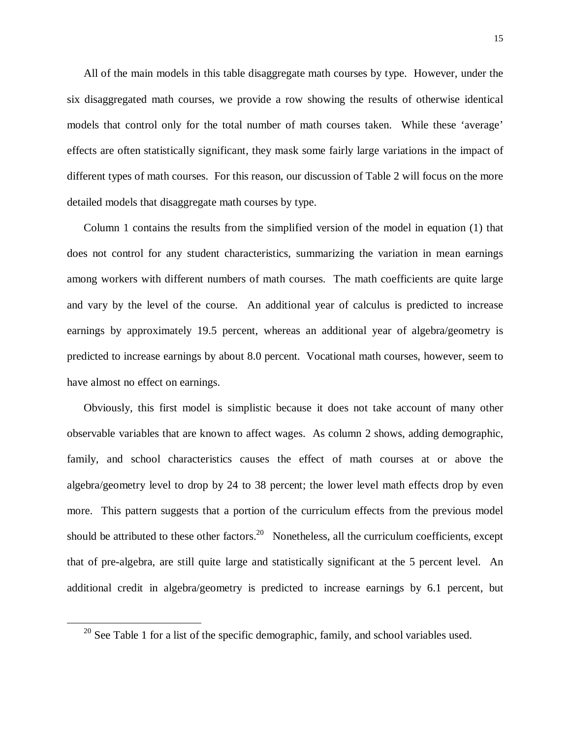All of the main models in this table disaggregate math courses by type. However, under the six disaggregated math courses, we provide a row showing the results of otherwise identical models that control only for the total number of math courses taken. While these 'average' effects are often statistically significant, they mask some fairly large variations in the impact of different types of math courses. For this reason, our discussion of Table 2 will focus on the more detailed models that disaggregate math courses by type.

Column 1 contains the results from the simplified version of the model in equation (1) that does not control for any student characteristics, summarizing the variation in mean earnings among workers with different numbers of math courses. The math coefficients are quite large and vary by the level of the course. An additional year of calculus is predicted to increase earnings by approximately 19.5 percent, whereas an additional year of algebra/geometry is predicted to increase earnings by about 8.0 percent. Vocational math courses, however, seem to have almost no effect on earnings.

Obviously, this first model is simplistic because it does not take account of many other observable variables that are known to affect wages. As column 2 shows, adding demographic, family, and school characteristics causes the effect of math courses at or above the algebra/geometry level to drop by 24 to 38 percent; the lower level math effects drop by even more. This pattern suggests that a portion of the curriculum effects from the previous model should be attributed to these other factors.<sup>20</sup> Nonetheless, all the curriculum coefficients, except that of pre-algebra, are still quite large and statistically significant at the 5 percent level. An additional credit in algebra/geometry is predicted to increase earnings by 6.1 percent, but

 $20$  See Table 1 for a list of the specific demographic, family, and school variables used.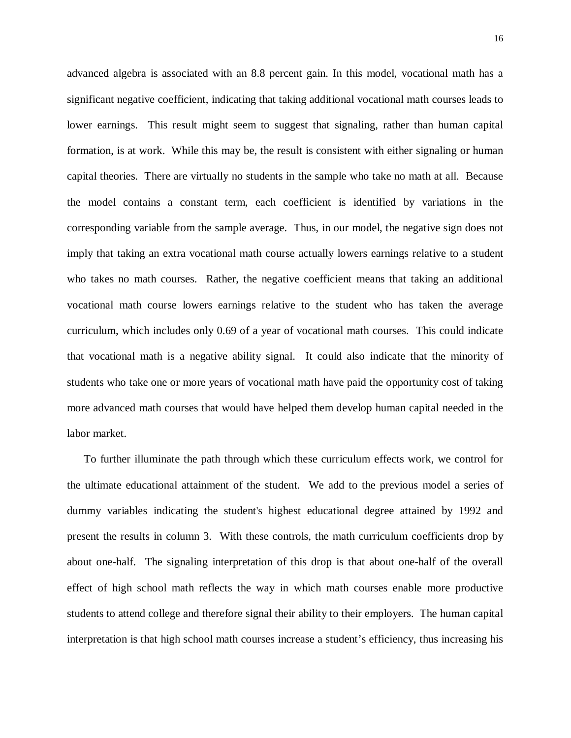advanced algebra is associated with an 8.8 percent gain. In this model, vocational math has a significant negative coefficient, indicating that taking additional vocational math courses leads to lower earnings. This result might seem to suggest that signaling, rather than human capital formation, is at work. While this may be, the result is consistent with either signaling or human capital theories. There are virtually no students in the sample who take no math at all. Because the model contains a constant term, each coefficient is identified by variations in the corresponding variable from the sample average. Thus, in our model, the negative sign does not imply that taking an extra vocational math course actually lowers earnings relative to a student who takes no math courses. Rather, the negative coefficient means that taking an additional vocational math course lowers earnings relative to the student who has taken the average curriculum, which includes only 0.69 of a year of vocational math courses. This could indicate that vocational math is a negative ability signal. It could also indicate that the minority of students who take one or more years of vocational math have paid the opportunity cost of taking more advanced math courses that would have helped them develop human capital needed in the labor market.

To further illuminate the path through which these curriculum effects work, we control for the ultimate educational attainment of the student. We add to the previous model a series of dummy variables indicating the student's highest educational degree attained by 1992 and present the results in column 3. With these controls, the math curriculum coefficients drop by about one-half. The signaling interpretation of this drop is that about one-half of the overall effect of high school math reflects the way in which math courses enable more productive students to attend college and therefore signal their ability to their employers. The human capital interpretation is that high school math courses increase a student's efficiency, thus increasing his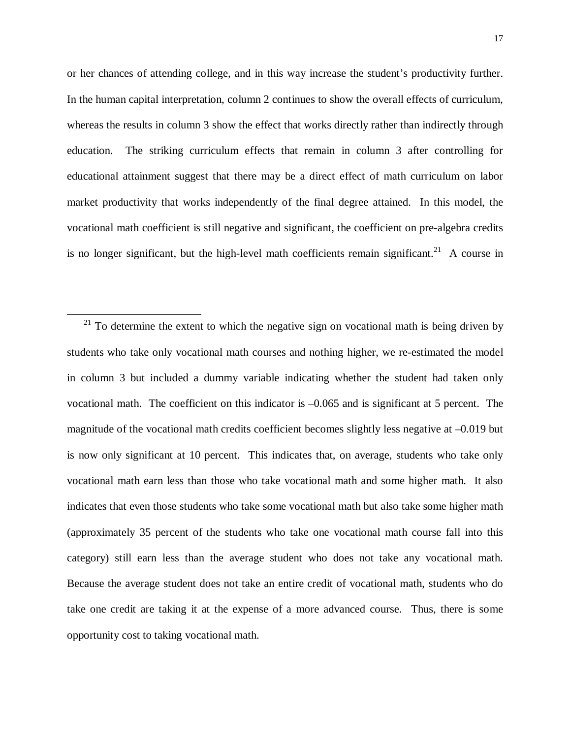or her chances of attending college, and in this way increase the student's productivity further. In the human capital interpretation, column 2 continues to show the overall effects of curriculum, whereas the results in column 3 show the effect that works directly rather than indirectly through education. The striking curriculum effects that remain in column 3 after controlling for educational attainment suggest that there may be a direct effect of math curriculum on labor market productivity that works independently of the final degree attained. In this model, the vocational math coefficient is still negative and significant, the coefficient on pre-algebra credits is no longer significant, but the high-level math coefficients remain significant.<sup>21</sup> A course in

 $21$  To determine the extent to which the negative sign on vocational math is being driven by students who take only vocational math courses and nothing higher, we re-estimated the model in column 3 but included a dummy variable indicating whether the student had taken only vocational math. The coefficient on this indicator is –0.065 and is significant at 5 percent. The magnitude of the vocational math credits coefficient becomes slightly less negative at –0.019 but is now only significant at 10 percent. This indicates that, on average, students who take only vocational math earn less than those who take vocational math and some higher math. It also indicates that even those students who take some vocational math but also take some higher math (approximately 35 percent of the students who take one vocational math course fall into this category) still earn less than the average student who does not take any vocational math. Because the average student does not take an entire credit of vocational math, students who do take one credit are taking it at the expense of a more advanced course. Thus, there is some opportunity cost to taking vocational math.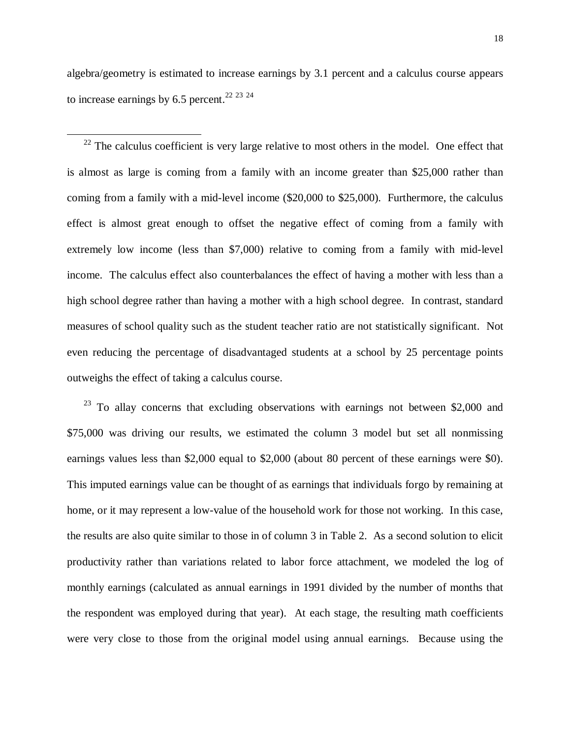algebra/geometry is estimated to increase earnings by 3.1 percent and a calculus course appears to increase earnings by 6.5 percent.<sup>22 23 24</sup>

 $22$  The calculus coefficient is very large relative to most others in the model. One effect that is almost as large is coming from a family with an income greater than \$25,000 rather than coming from a family with a mid-level income (\$20,000 to \$25,000). Furthermore, the calculus effect is almost great enough to offset the negative effect of coming from a family with extremely low income (less than \$7,000) relative to coming from a family with mid-level income. The calculus effect also counterbalances the effect of having a mother with less than a high school degree rather than having a mother with a high school degree. In contrast, standard measures of school quality such as the student teacher ratio are not statistically significant. Not even reducing the percentage of disadvantaged students at a school by 25 percentage points outweighs the effect of taking a calculus course.

 $23$  To allay concerns that excluding observations with earnings not between \$2,000 and \$75,000 was driving our results, we estimated the column 3 model but set all nonmissing earnings values less than \$2,000 equal to \$2,000 (about 80 percent of these earnings were \$0). This imputed earnings value can be thought of as earnings that individuals forgo by remaining at home, or it may represent a low-value of the household work for those not working. In this case, the results are also quite similar to those in of column 3 in Table 2. As a second solution to elicit productivity rather than variations related to labor force attachment, we modeled the log of monthly earnings (calculated as annual earnings in 1991 divided by the number of months that the respondent was employed during that year). At each stage, the resulting math coefficients were very close to those from the original model using annual earnings. Because using the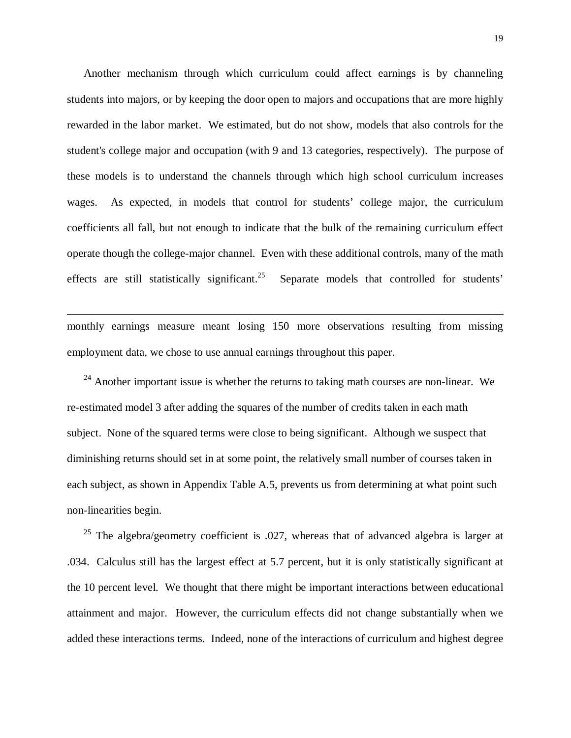Another mechanism through which curriculum could affect earnings is by channeling students into majors, or by keeping the door open to majors and occupations that are more highly rewarded in the labor market. We estimated, but do not show, models that also controls for the student's college major and occupation (with 9 and 13 categories, respectively). The purpose of these models is to understand the channels through which high school curriculum increases wages. As expected, in models that control for students' college major, the curriculum coefficients all fall, but not enough to indicate that the bulk of the remaining curriculum effect operate though the college-major channel. Even with these additional controls, many of the math effects are still statistically significant.<sup>25</sup> Separate models that controlled for students'

monthly earnings measure meant losing 150 more observations resulting from missing employment data, we chose to use annual earnings throughout this paper.

-

 $24$  Another important issue is whether the returns to taking math courses are non-linear. We re-estimated model 3 after adding the squares of the number of credits taken in each math subject. None of the squared terms were close to being significant. Although we suspect that diminishing returns should set in at some point, the relatively small number of courses taken in each subject, as shown in Appendix Table A.5, prevents us from determining at what point such non-linearities begin.

<sup>25</sup> The algebra/geometry coefficient is .027, whereas that of advanced algebra is larger at .034. Calculus still has the largest effect at 5.7 percent, but it is only statistically significant at the 10 percent level. We thought that there might be important interactions between educational attainment and major. However, the curriculum effects did not change substantially when we added these interactions terms. Indeed, none of the interactions of curriculum and highest degree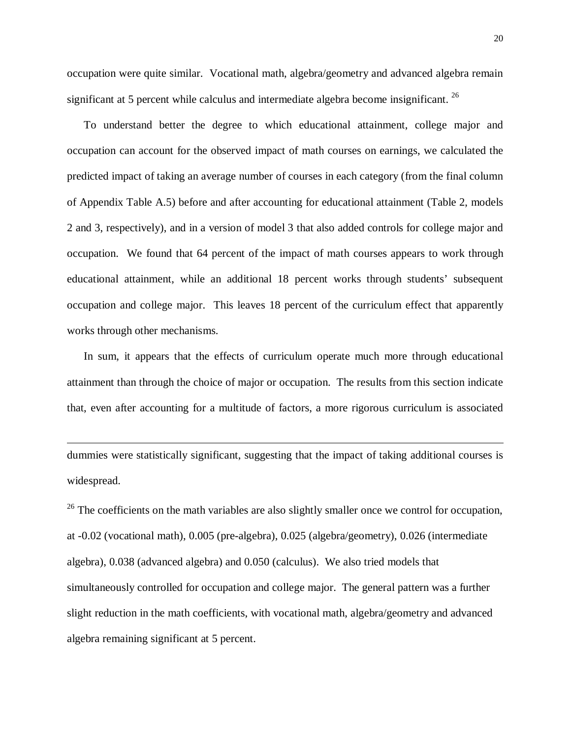occupation were quite similar. Vocational math, algebra/geometry and advanced algebra remain significant at 5 percent while calculus and intermediate algebra become insignificant. <sup>26</sup>

To understand better the degree to which educational attainment, college major and occupation can account for the observed impact of math courses on earnings, we calculated the predicted impact of taking an average number of courses in each category (from the final column of Appendix Table A.5) before and after accounting for educational attainment (Table 2, models 2 and 3, respectively), and in a version of model 3 that also added controls for college major and occupation. We found that 64 percent of the impact of math courses appears to work through educational attainment, while an additional 18 percent works through students' subsequent occupation and college major. This leaves 18 percent of the curriculum effect that apparently works through other mechanisms.

In sum, it appears that the effects of curriculum operate much more through educational attainment than through the choice of major or occupation. The results from this section indicate that, even after accounting for a multitude of factors, a more rigorous curriculum is associated

dummies were statistically significant, suggesting that the impact of taking additional courses is widespread.

-

 $26$  The coefficients on the math variables are also slightly smaller once we control for occupation, at -0.02 (vocational math), 0.005 (pre-algebra), 0.025 (algebra/geometry), 0.026 (intermediate algebra), 0.038 (advanced algebra) and 0.050 (calculus). We also tried models that simultaneously controlled for occupation and college major. The general pattern was a further slight reduction in the math coefficients, with vocational math, algebra/geometry and advanced algebra remaining significant at 5 percent.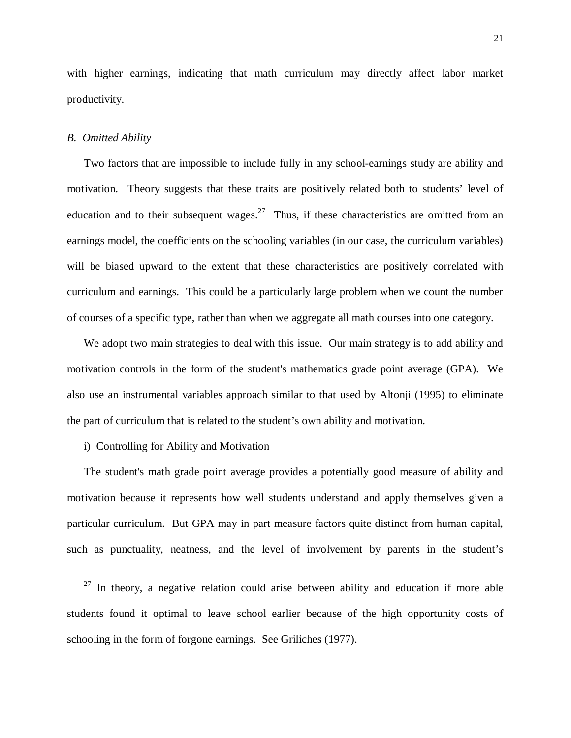with higher earnings, indicating that math curriculum may directly affect labor market productivity.

### *B. Omitted Ability*

Two factors that are impossible to include fully in any school-earnings study are ability and motivation. Theory suggests that these traits are positively related both to students' level of education and to their subsequent wages.<sup>27</sup> Thus, if these characteristics are omitted from an earnings model, the coefficients on the schooling variables (in our case, the curriculum variables) will be biased upward to the extent that these characteristics are positively correlated with curriculum and earnings. This could be a particularly large problem when we count the number of courses of a specific type, rather than when we aggregate all math courses into one category.

We adopt two main strategies to deal with this issue. Our main strategy is to add ability and motivation controls in the form of the student's mathematics grade point average (GPA). We also use an instrumental variables approach similar to that used by Altonji (1995) to eliminate the part of curriculum that is related to the student's own ability and motivation.

i) Controlling for Ability and Motivation

The student's math grade point average provides a potentially good measure of ability and motivation because it represents how well students understand and apply themselves given a particular curriculum. But GPA may in part measure factors quite distinct from human capital, such as punctuality, neatness, and the level of involvement by parents in the student's

 $27$  In theory, a negative relation could arise between ability and education if more able students found it optimal to leave school earlier because of the high opportunity costs of schooling in the form of forgone earnings. See Griliches (1977).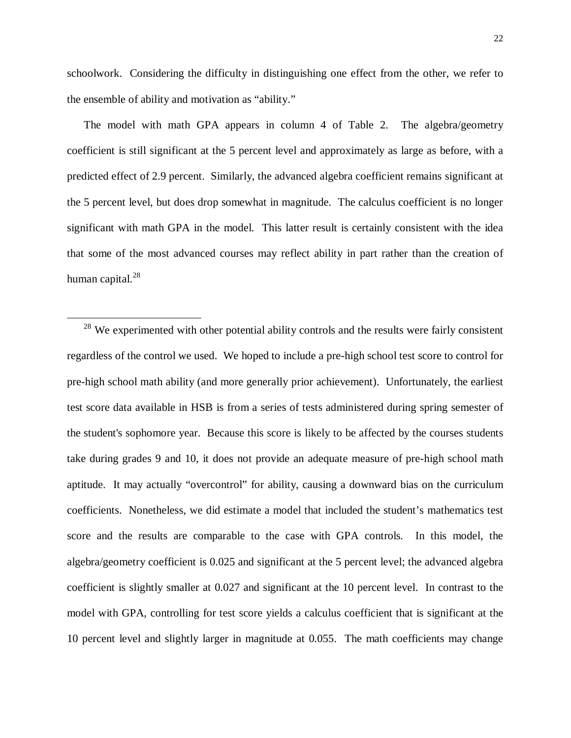schoolwork. Considering the difficulty in distinguishing one effect from the other, we refer to the ensemble of ability and motivation as "ability."

The model with math GPA appears in column 4 of Table 2. The algebra/geometry coefficient is still significant at the 5 percent level and approximately as large as before, with a predicted effect of 2.9 percent. Similarly, the advanced algebra coefficient remains significant at the 5 percent level, but does drop somewhat in magnitude. The calculus coefficient is no longer significant with math GPA in the model. This latter result is certainly consistent with the idea that some of the most advanced courses may reflect ability in part rather than the creation of human capital. $^{28}$ 

<sup>&</sup>lt;sup>28</sup> We experimented with other potential ability controls and the results were fairly consistent regardless of the control we used. We hoped to include a pre-high school test score to control for pre-high school math ability (and more generally prior achievement). Unfortunately, the earliest test score data available in HSB is from a series of tests administered during spring semester of the student's sophomore year. Because this score is likely to be affected by the courses students take during grades 9 and 10, it does not provide an adequate measure of pre-high school math aptitude. It may actually "overcontrol" for ability, causing a downward bias on the curriculum coefficients. Nonetheless, we did estimate a model that included the student's mathematics test score and the results are comparable to the case with GPA controls. In this model, the algebra/geometry coefficient is 0.025 and significant at the 5 percent level; the advanced algebra coefficient is slightly smaller at 0.027 and significant at the 10 percent level. In contrast to the model with GPA, controlling for test score yields a calculus coefficient that is significant at the 10 percent level and slightly larger in magnitude at 0.055. The math coefficients may change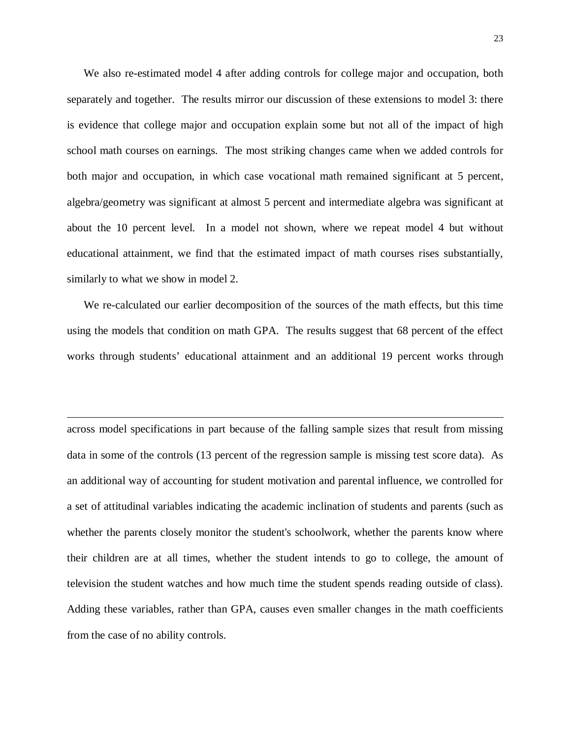We also re-estimated model 4 after adding controls for college major and occupation, both separately and together. The results mirror our discussion of these extensions to model 3: there is evidence that college major and occupation explain some but not all of the impact of high school math courses on earnings. The most striking changes came when we added controls for both major and occupation, in which case vocational math remained significant at 5 percent, algebra/geometry was significant at almost 5 percent and intermediate algebra was significant at about the 10 percent level. In a model not shown, where we repeat model 4 but without educational attainment, we find that the estimated impact of math courses rises substantially, similarly to what we show in model 2.

We re-calculated our earlier decomposition of the sources of the math effects, but this time using the models that condition on math GPA. The results suggest that 68 percent of the effect works through students' educational attainment and an additional 19 percent works through

-

across model specifications in part because of the falling sample sizes that result from missing data in some of the controls (13 percent of the regression sample is missing test score data). As an additional way of accounting for student motivation and parental influence, we controlled for a set of attitudinal variables indicating the academic inclination of students and parents (such as whether the parents closely monitor the student's schoolwork, whether the parents know where their children are at all times, whether the student intends to go to college, the amount of television the student watches and how much time the student spends reading outside of class). Adding these variables, rather than GPA, causes even smaller changes in the math coefficients from the case of no ability controls.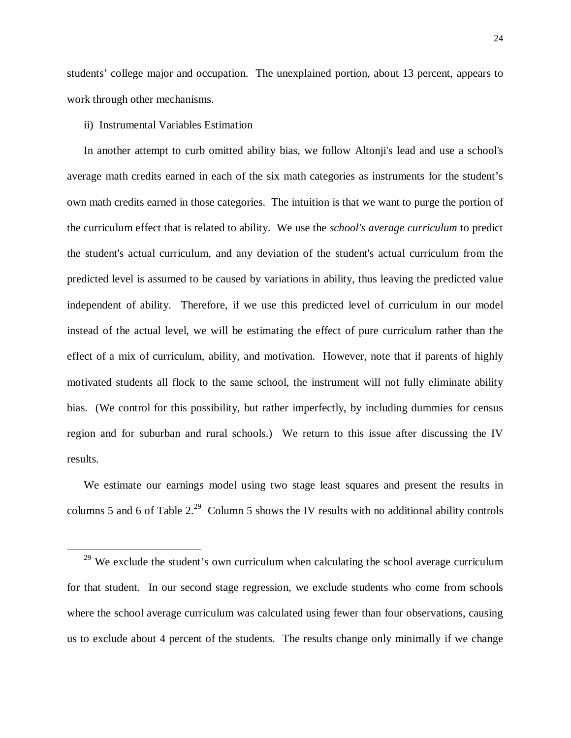students' college major and occupation. The unexplained portion, about 13 percent, appears to work through other mechanisms.

# ii) Instrumental Variables Estimation

In another attempt to curb omitted ability bias, we follow Altonji's lead and use a school's average math credits earned in each of the six math categories as instruments for the student's own math credits earned in those categories. The intuition is that we want to purge the portion of the curriculum effect that is related to ability. We use the *school's average curriculum* to predict the student's actual curriculum, and any deviation of the student's actual curriculum from the predicted level is assumed to be caused by variations in ability, thus leaving the predicted value independent of ability. Therefore, if we use this predicted level of curriculum in our model instead of the actual level, we will be estimating the effect of pure curriculum rather than the effect of a mix of curriculum, ability, and motivation. However, note that if parents of highly motivated students all flock to the same school, the instrument will not fully eliminate ability bias. (We control for this possibility, but rather imperfectly, by including dummies for census region and for suburban and rural schools.) We return to this issue after discussing the IV results.

We estimate our earnings model using two stage least squares and present the results in columns 5 and 6 of Table  $2^{29}$  Column 5 shows the IV results with no additional ability controls

 $29$  We exclude the student's own curriculum when calculating the school average curriculum for that student. In our second stage regression, we exclude students who come from schools where the school average curriculum was calculated using fewer than four observations, causing us to exclude about 4 percent of the students. The results change only minimally if we change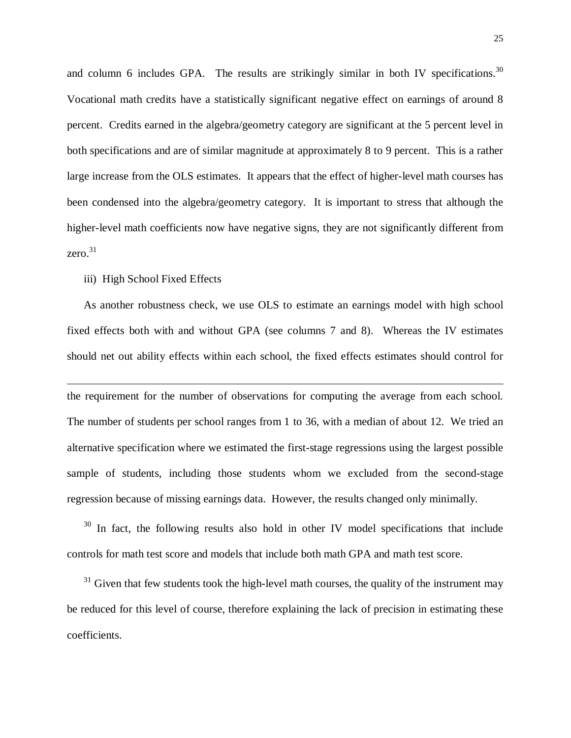and column 6 includes GPA. The results are strikingly similar in both IV specifications.<sup>30</sup> Vocational math credits have a statistically significant negative effect on earnings of around 8 percent. Credits earned in the algebra/geometry category are significant at the 5 percent level in both specifications and are of similar magnitude at approximately 8 to 9 percent. This is a rather large increase from the OLS estimates. It appears that the effect of higher-level math courses has been condensed into the algebra/geometry category. It is important to stress that although the higher-level math coefficients now have negative signs, they are not significantly different from zero. $31$ 

# iii) High School Fixed Effects

<u>.</u>

As another robustness check, we use OLS to estimate an earnings model with high school fixed effects both with and without GPA (see columns 7 and 8). Whereas the IV estimates should net out ability effects within each school, the fixed effects estimates should control for

the requirement for the number of observations for computing the average from each school. The number of students per school ranges from 1 to 36, with a median of about 12. We tried an alternative specification where we estimated the first-stage regressions using the largest possible sample of students, including those students whom we excluded from the second-stage regression because of missing earnings data. However, the results changed only minimally.

 $30$  In fact, the following results also hold in other IV model specifications that include controls for math test score and models that include both math GPA and math test score.

 $31$  Given that few students took the high-level math courses, the quality of the instrument may be reduced for this level of course, therefore explaining the lack of precision in estimating these coefficients.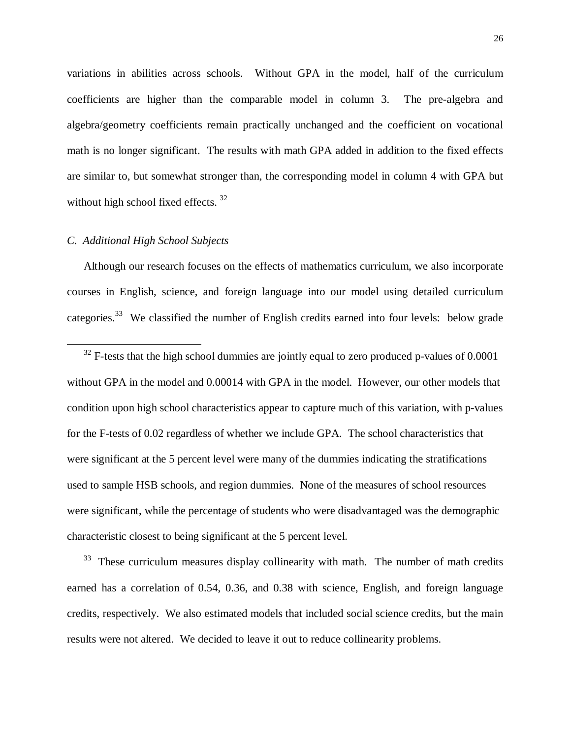variations in abilities across schools. Without GPA in the model, half of the curriculum coefficients are higher than the comparable model in column 3. The pre-algebra and algebra/geometry coefficients remain practically unchanged and the coefficient on vocational math is no longer significant. The results with math GPA added in addition to the fixed effects are similar to, but somewhat stronger than, the corresponding model in column 4 with GPA but without high school fixed effects.<sup>32</sup>

### *C. Additional High School Subjects*

Although our research focuses on the effects of mathematics curriculum, we also incorporate courses in English, science, and foreign language into our model using detailed curriculum categories.<sup>33</sup> We classified the number of English credits earned into four levels: below grade

 $32$  F-tests that the high school dummies are jointly equal to zero produced p-values of 0.0001 without GPA in the model and 0.00014 with GPA in the model. However, our other models that condition upon high school characteristics appear to capture much of this variation, with p-values for the F-tests of 0.02 regardless of whether we include GPA. The school characteristics that were significant at the 5 percent level were many of the dummies indicating the stratifications used to sample HSB schools, and region dummies. None of the measures of school resources were significant, while the percentage of students who were disadvantaged was the demographic characteristic closest to being significant at the 5 percent level.

 $33$  These curriculum measures display collinearity with math. The number of math credits earned has a correlation of 0.54, 0.36, and 0.38 with science, English, and foreign language credits, respectively. We also estimated models that included social science credits, but the main results were not altered. We decided to leave it out to reduce collinearity problems.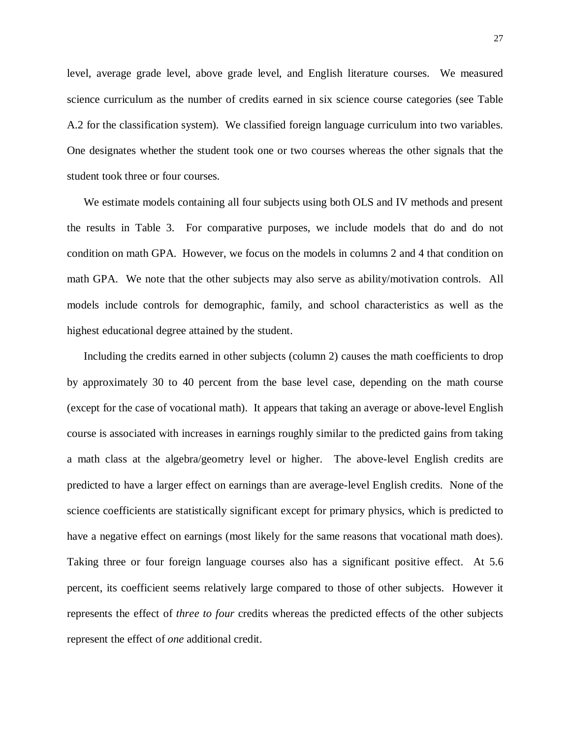level, average grade level, above grade level, and English literature courses. We measured science curriculum as the number of credits earned in six science course categories (see Table A.2 for the classification system). We classified foreign language curriculum into two variables. One designates whether the student took one or two courses whereas the other signals that the student took three or four courses.

We estimate models containing all four subjects using both OLS and IV methods and present the results in Table 3. For comparative purposes, we include models that do and do not condition on math GPA. However, we focus on the models in columns 2 and 4 that condition on math GPA. We note that the other subjects may also serve as ability/motivation controls. All models include controls for demographic, family, and school characteristics as well as the highest educational degree attained by the student.

Including the credits earned in other subjects (column 2) causes the math coefficients to drop by approximately 30 to 40 percent from the base level case, depending on the math course (except for the case of vocational math). It appears that taking an average or above-level English course is associated with increases in earnings roughly similar to the predicted gains from taking a math class at the algebra/geometry level or higher. The above-level English credits are predicted to have a larger effect on earnings than are average-level English credits. None of the science coefficients are statistically significant except for primary physics, which is predicted to have a negative effect on earnings (most likely for the same reasons that vocational math does). Taking three or four foreign language courses also has a significant positive effect. At 5.6 percent, its coefficient seems relatively large compared to those of other subjects. However it represents the effect of *three to four* credits whereas the predicted effects of the other subjects represent the effect of *one* additional credit.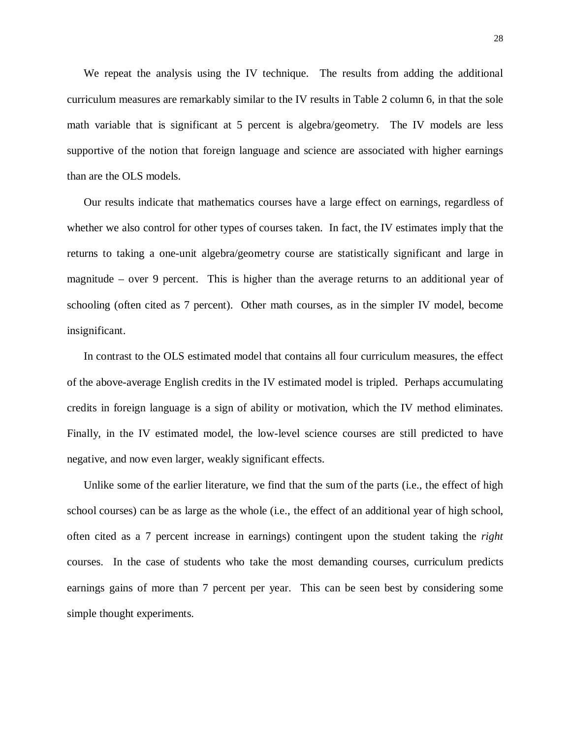We repeat the analysis using the IV technique. The results from adding the additional curriculum measures are remarkably similar to the IV results in Table 2 column 6, in that the sole math variable that is significant at 5 percent is algebra/geometry. The IV models are less supportive of the notion that foreign language and science are associated with higher earnings than are the OLS models.

Our results indicate that mathematics courses have a large effect on earnings, regardless of whether we also control for other types of courses taken. In fact, the IV estimates imply that the returns to taking a one-unit algebra/geometry course are statistically significant and large in magnitude – over 9 percent. This is higher than the average returns to an additional year of schooling (often cited as 7 percent). Other math courses, as in the simpler IV model, become insignificant.

In contrast to the OLS estimated model that contains all four curriculum measures, the effect of the above-average English credits in the IV estimated model is tripled. Perhaps accumulating credits in foreign language is a sign of ability or motivation, which the IV method eliminates. Finally, in the IV estimated model, the low-level science courses are still predicted to have negative, and now even larger, weakly significant effects.

Unlike some of the earlier literature, we find that the sum of the parts (i.e., the effect of high school courses) can be as large as the whole (i.e., the effect of an additional year of high school, often cited as a 7 percent increase in earnings) contingent upon the student taking the *right* courses. In the case of students who take the most demanding courses, curriculum predicts earnings gains of more than 7 percent per year. This can be seen best by considering some simple thought experiments.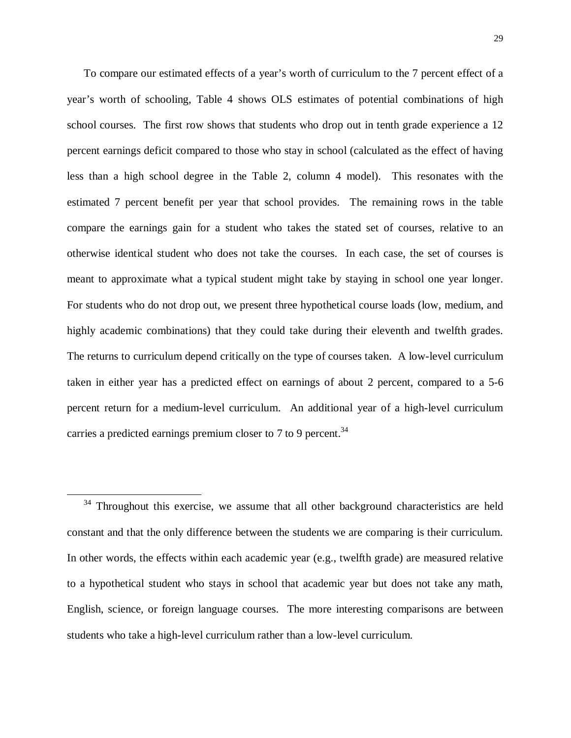To compare our estimated effects of a year's worth of curriculum to the 7 percent effect of a year's worth of schooling, Table 4 shows OLS estimates of potential combinations of high school courses. The first row shows that students who drop out in tenth grade experience a 12 percent earnings deficit compared to those who stay in school (calculated as the effect of having less than a high school degree in the Table 2, column 4 model). This resonates with the estimated 7 percent benefit per year that school provides. The remaining rows in the table compare the earnings gain for a student who takes the stated set of courses, relative to an otherwise identical student who does not take the courses. In each case, the set of courses is meant to approximate what a typical student might take by staying in school one year longer. For students who do not drop out, we present three hypothetical course loads (low, medium, and highly academic combinations) that they could take during their eleventh and twelfth grades. The returns to curriculum depend critically on the type of courses taken. A low-level curriculum taken in either year has a predicted effect on earnings of about 2 percent, compared to a 5-6 percent return for a medium-level curriculum. An additional year of a high-level curriculum carries a predicted earnings premium closer to 7 to 9 percent.<sup>34</sup>

<sup>&</sup>lt;sup>34</sup> Throughout this exercise, we assume that all other background characteristics are held constant and that the only difference between the students we are comparing is their curriculum. In other words, the effects within each academic year (e.g., twelfth grade) are measured relative to a hypothetical student who stays in school that academic year but does not take any math, English, science, or foreign language courses. The more interesting comparisons are between students who take a high-level curriculum rather than a low-level curriculum.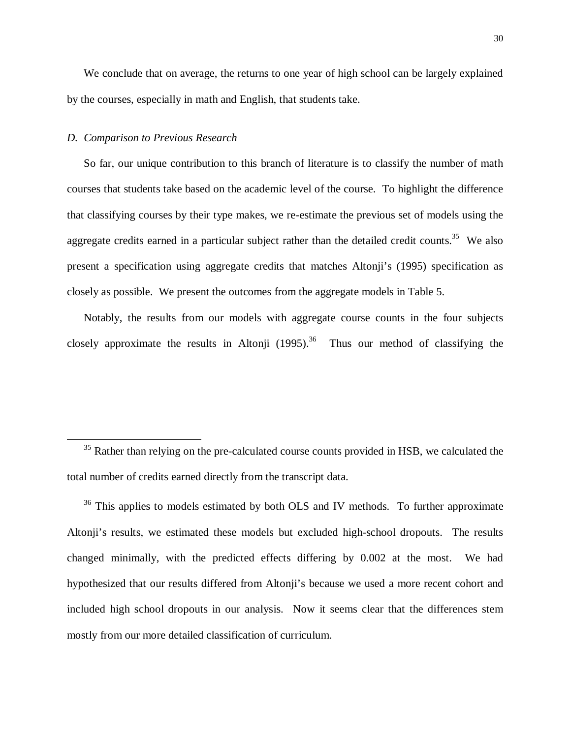We conclude that on average, the returns to one year of high school can be largely explained by the courses, especially in math and English, that students take.

#### *D. Comparison to Previous Research*

So far, our unique contribution to this branch of literature is to classify the number of math courses that students take based on the academic level of the course. To highlight the difference that classifying courses by their type makes, we re-estimate the previous set of models using the aggregate credits earned in a particular subject rather than the detailed credit counts.<sup>35</sup> We also present a specification using aggregate credits that matches Altonji's (1995) specification as closely as possible. We present the outcomes from the aggregate models in Table 5.

Notably, the results from our models with aggregate course counts in the four subjects closely approximate the results in Altonji  $(1995)^{36}$  Thus our method of classifying the

<sup>36</sup> This applies to models estimated by both OLS and IV methods. To further approximate Altonji's results, we estimated these models but excluded high-school dropouts. The results changed minimally, with the predicted effects differing by 0.002 at the most. We had hypothesized that our results differed from Altonji's because we used a more recent cohort and included high school dropouts in our analysis. Now it seems clear that the differences stem mostly from our more detailed classification of curriculum.

 $35$  Rather than relying on the pre-calculated course counts provided in HSB, we calculated the total number of credits earned directly from the transcript data.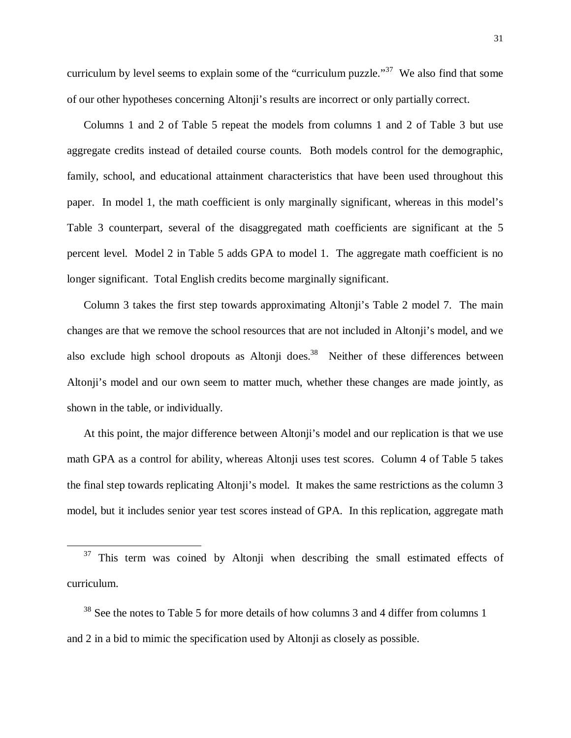curriculum by level seems to explain some of the "curriculum puzzle."<sup>37</sup> We also find that some of our other hypotheses concerning Altonji's results are incorrect or only partially correct.

Columns 1 and 2 of Table 5 repeat the models from columns 1 and 2 of Table 3 but use aggregate credits instead of detailed course counts. Both models control for the demographic, family, school, and educational attainment characteristics that have been used throughout this paper. In model 1, the math coefficient is only marginally significant, whereas in this model's Table 3 counterpart, several of the disaggregated math coefficients are significant at the 5 percent level. Model 2 in Table 5 adds GPA to model 1. The aggregate math coefficient is no longer significant. Total English credits become marginally significant.

Column 3 takes the first step towards approximating Altonji's Table 2 model 7. The main changes are that we remove the school resources that are not included in Altonji's model, and we also exclude high school dropouts as Altonji does.<sup>38</sup> Neither of these differences between Altonji's model and our own seem to matter much, whether these changes are made jointly, as shown in the table, or individually.

At this point, the major difference between Altonji's model and our replication is that we use math GPA as a control for ability, whereas Altonji uses test scores. Column 4 of Table 5 takes the final step towards replicating Altonji's model. It makes the same restrictions as the column 3 model, but it includes senior year test scores instead of GPA. In this replication, aggregate math

 $37$  This term was coined by Altonji when describing the small estimated effects of curriculum.

<sup>&</sup>lt;sup>38</sup> See the notes to Table 5 for more details of how columns 3 and 4 differ from columns 1 and 2 in a bid to mimic the specification used by Altonji as closely as possible.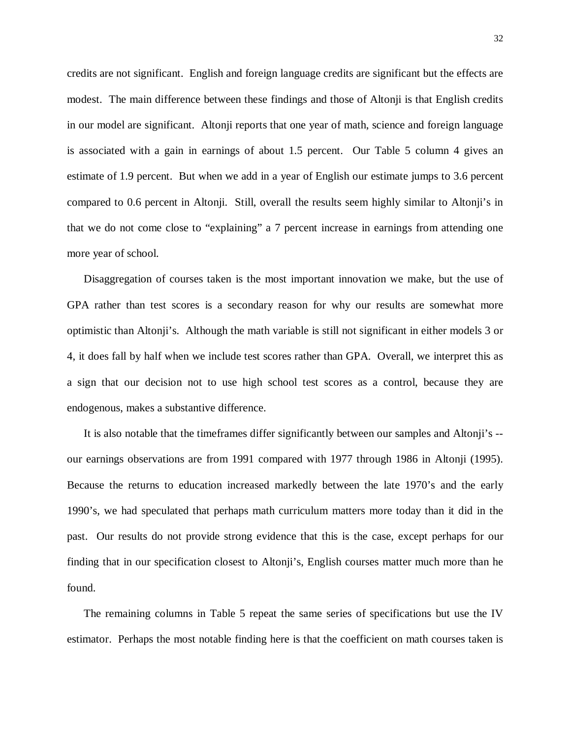credits are not significant. English and foreign language credits are significant but the effects are modest. The main difference between these findings and those of Altonji is that English credits in our model are significant. Altonji reports that one year of math, science and foreign language is associated with a gain in earnings of about 1.5 percent. Our Table 5 column 4 gives an estimate of 1.9 percent. But when we add in a year of English our estimate jumps to 3.6 percent compared to 0.6 percent in Altonji. Still, overall the results seem highly similar to Altonji's in that we do not come close to "explaining" a 7 percent increase in earnings from attending one more year of school.

Disaggregation of courses taken is the most important innovation we make, but the use of GPA rather than test scores is a secondary reason for why our results are somewhat more optimistic than Altonji's. Although the math variable is still not significant in either models 3 or 4, it does fall by half when we include test scores rather than GPA. Overall, we interpret this as a sign that our decision not to use high school test scores as a control, because they are endogenous, makes a substantive difference.

It is also notable that the timeframes differ significantly between our samples and Altonji's - our earnings observations are from 1991 compared with 1977 through 1986 in Altonji (1995). Because the returns to education increased markedly between the late 1970's and the early 1990's, we had speculated that perhaps math curriculum matters more today than it did in the past. Our results do not provide strong evidence that this is the case, except perhaps for our finding that in our specification closest to Altonji's, English courses matter much more than he found.

The remaining columns in Table 5 repeat the same series of specifications but use the IV estimator. Perhaps the most notable finding here is that the coefficient on math courses taken is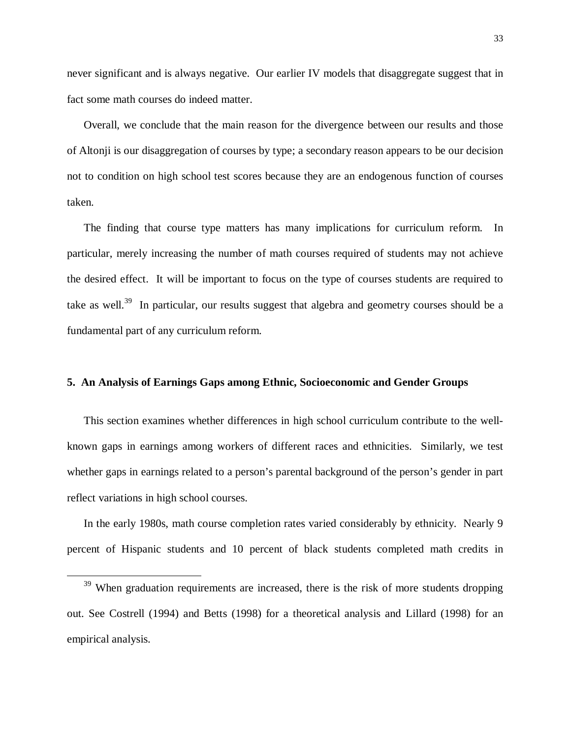never significant and is always negative. Our earlier IV models that disaggregate suggest that in fact some math courses do indeed matter.

Overall, we conclude that the main reason for the divergence between our results and those of Altonji is our disaggregation of courses by type; a secondary reason appears to be our decision not to condition on high school test scores because they are an endogenous function of courses taken.

The finding that course type matters has many implications for curriculum reform. In particular, merely increasing the number of math courses required of students may not achieve the desired effect. It will be important to focus on the type of courses students are required to take as well.<sup>39</sup> In particular, our results suggest that algebra and geometry courses should be a fundamental part of any curriculum reform.

## **5. An Analysis of Earnings Gaps among Ethnic, Socioeconomic and Gender Groups**

This section examines whether differences in high school curriculum contribute to the wellknown gaps in earnings among workers of different races and ethnicities. Similarly, we test whether gaps in earnings related to a person's parental background of the person's gender in part reflect variations in high school courses.

In the early 1980s, math course completion rates varied considerably by ethnicity. Nearly 9 percent of Hispanic students and 10 percent of black students completed math credits in

<sup>&</sup>lt;sup>39</sup> When graduation requirements are increased, there is the risk of more students dropping out. See Costrell (1994) and Betts (1998) for a theoretical analysis and Lillard (1998) for an empirical analysis.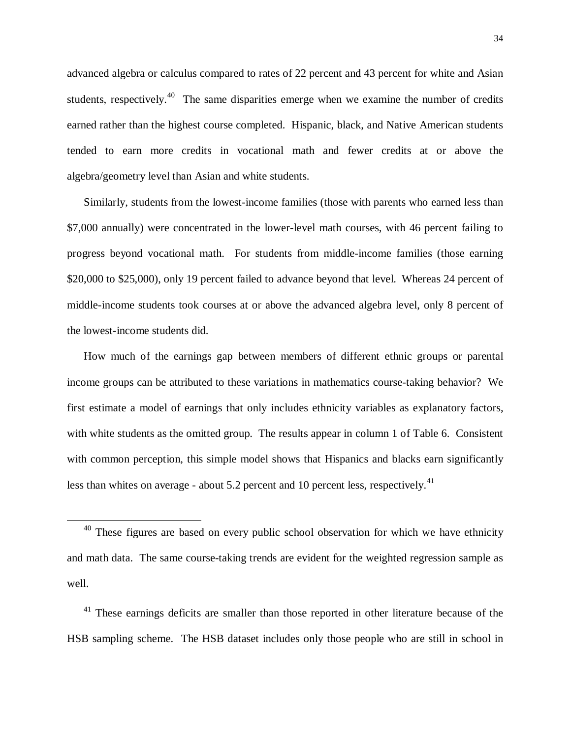advanced algebra or calculus compared to rates of 22 percent and 43 percent for white and Asian students, respectively.<sup>40</sup> The same disparities emerge when we examine the number of credits earned rather than the highest course completed. Hispanic, black, and Native American students tended to earn more credits in vocational math and fewer credits at or above the algebra/geometry level than Asian and white students.

Similarly, students from the lowest-income families (those with parents who earned less than \$7,000 annually) were concentrated in the lower-level math courses, with 46 percent failing to progress beyond vocational math. For students from middle-income families (those earning \$20,000 to \$25,000), only 19 percent failed to advance beyond that level. Whereas 24 percent of middle-income students took courses at or above the advanced algebra level, only 8 percent of the lowest-income students did.

How much of the earnings gap between members of different ethnic groups or parental income groups can be attributed to these variations in mathematics course-taking behavior? We first estimate a model of earnings that only includes ethnicity variables as explanatory factors, with white students as the omitted group. The results appear in column 1 of Table 6. Consistent with common perception, this simple model shows that Hispanics and blacks earn significantly less than whites on average - about 5.2 percent and 10 percent less, respectively.<sup>41</sup>

 $41$  These earnings deficits are smaller than those reported in other literature because of the HSB sampling scheme. The HSB dataset includes only those people who are still in school in

<sup>&</sup>lt;sup>40</sup> These figures are based on every public school observation for which we have ethnicity and math data. The same course-taking trends are evident for the weighted regression sample as well.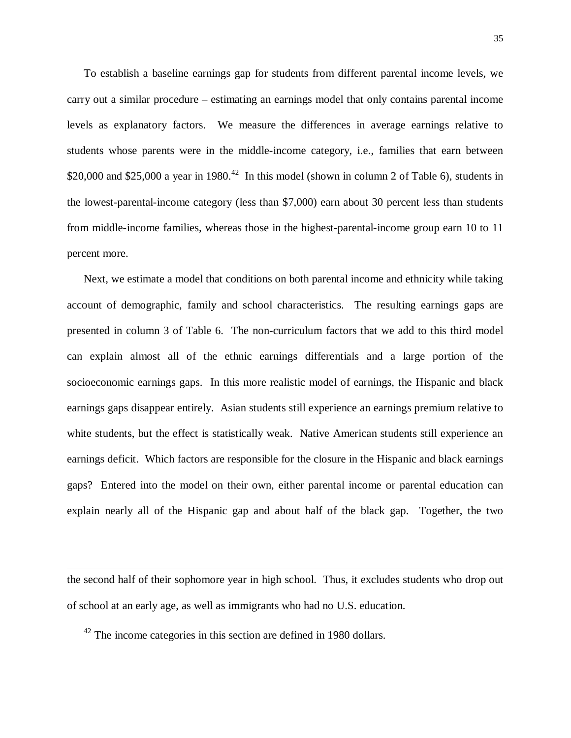To establish a baseline earnings gap for students from different parental income levels, we carry out a similar procedure – estimating an earnings model that only contains parental income levels as explanatory factors. We measure the differences in average earnings relative to students whose parents were in the middle-income category, i.e., families that earn between \$20,000 and \$25,000 a year in 1980.<sup>42</sup> In this model (shown in column 2 of Table 6), students in the lowest-parental-income category (less than \$7,000) earn about 30 percent less than students from middle-income families, whereas those in the highest-parental-income group earn 10 to 11 percent more.

Next, we estimate a model that conditions on both parental income and ethnicity while taking account of demographic, family and school characteristics. The resulting earnings gaps are presented in column 3 of Table 6. The non-curriculum factors that we add to this third model can explain almost all of the ethnic earnings differentials and a large portion of the socioeconomic earnings gaps. In this more realistic model of earnings, the Hispanic and black earnings gaps disappear entirely. Asian students still experience an earnings premium relative to white students, but the effect is statistically weak. Native American students still experience an earnings deficit. Which factors are responsible for the closure in the Hispanic and black earnings gaps? Entered into the model on their own, either parental income or parental education can explain nearly all of the Hispanic gap and about half of the black gap. Together, the two

the second half of their sophomore year in high school. Thus, it excludes students who drop out of school at an early age, as well as immigrants who had no U.S. education.

 $42$  The income categories in this section are defined in 1980 dollars.

<u>.</u>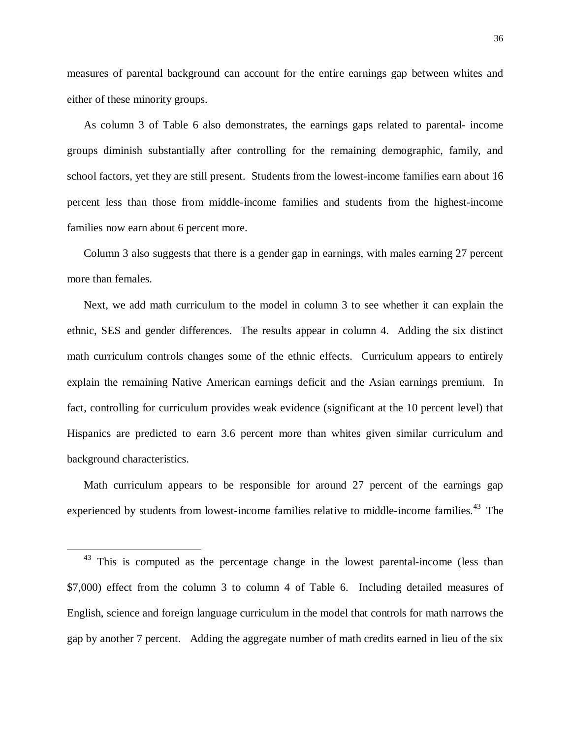measures of parental background can account for the entire earnings gap between whites and either of these minority groups.

As column 3 of Table 6 also demonstrates, the earnings gaps related to parental- income groups diminish substantially after controlling for the remaining demographic, family, and school factors, yet they are still present. Students from the lowest-income families earn about 16 percent less than those from middle-income families and students from the highest-income families now earn about 6 percent more.

Column 3 also suggests that there is a gender gap in earnings, with males earning 27 percent more than females.

Next, we add math curriculum to the model in column 3 to see whether it can explain the ethnic, SES and gender differences. The results appear in column 4. Adding the six distinct math curriculum controls changes some of the ethnic effects. Curriculum appears to entirely explain the remaining Native American earnings deficit and the Asian earnings premium. In fact, controlling for curriculum provides weak evidence (significant at the 10 percent level) that Hispanics are predicted to earn 3.6 percent more than whites given similar curriculum and background characteristics.

Math curriculum appears to be responsible for around 27 percent of the earnings gap experienced by students from lowest-income families relative to middle-income families.<sup>43</sup> The

<sup>&</sup>lt;sup>43</sup> This is computed as the percentage change in the lowest parental-income (less than \$7,000) effect from the column 3 to column 4 of Table 6. Including detailed measures of English, science and foreign language curriculum in the model that controls for math narrows the gap by another 7 percent. Adding the aggregate number of math credits earned in lieu of the six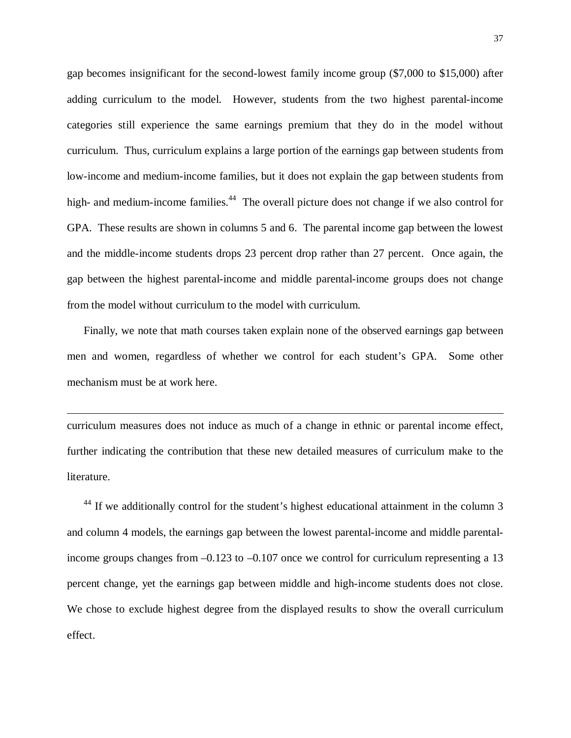gap becomes insignificant for the second-lowest family income group (\$7,000 to \$15,000) after adding curriculum to the model. However, students from the two highest parental-income categories still experience the same earnings premium that they do in the model without curriculum. Thus, curriculum explains a large portion of the earnings gap between students from low-income and medium-income families, but it does not explain the gap between students from high- and medium-income families.<sup>44</sup> The overall picture does not change if we also control for GPA. These results are shown in columns 5 and 6. The parental income gap between the lowest and the middle-income students drops 23 percent drop rather than 27 percent. Once again, the gap between the highest parental-income and middle parental-income groups does not change from the model without curriculum to the model with curriculum.

Finally, we note that math courses taken explain none of the observed earnings gap between men and women, regardless of whether we control for each student's GPA. Some other mechanism must be at work here.

curriculum measures does not induce as much of a change in ethnic or parental income effect, further indicating the contribution that these new detailed measures of curriculum make to the literature.

-

 $44$  If we additionally control for the student's highest educational attainment in the column 3 and column 4 models, the earnings gap between the lowest parental-income and middle parentalincome groups changes from –0.123 to –0.107 once we control for curriculum representing a 13 percent change, yet the earnings gap between middle and high-income students does not close. We chose to exclude highest degree from the displayed results to show the overall curriculum effect.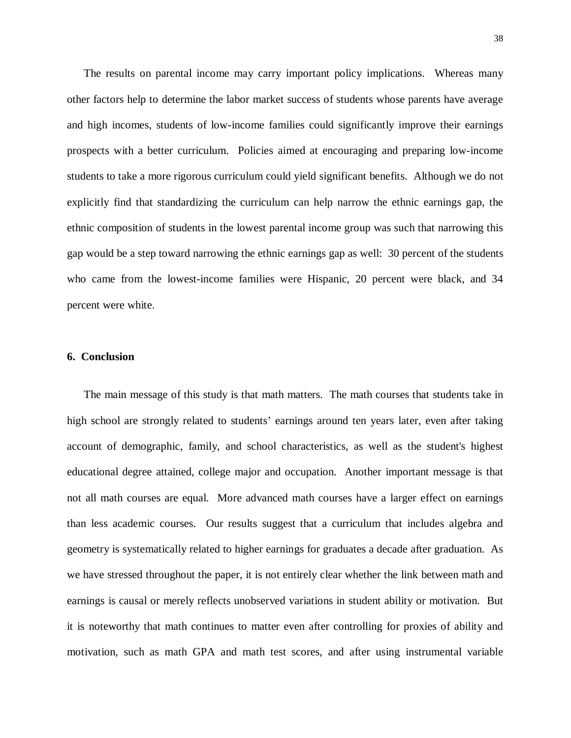The results on parental income may carry important policy implications. Whereas many other factors help to determine the labor market success of students whose parents have average and high incomes, students of low-income families could significantly improve their earnings prospects with a better curriculum. Policies aimed at encouraging and preparing low-income students to take a more rigorous curriculum could yield significant benefits. Although we do not explicitly find that standardizing the curriculum can help narrow the ethnic earnings gap, the ethnic composition of students in the lowest parental income group was such that narrowing this gap would be a step toward narrowing the ethnic earnings gap as well: 30 percent of the students who came from the lowest-income families were Hispanic, 20 percent were black, and 34 percent were white.

#### **6. Conclusion**

 The main message of this study is that math matters. The math courses that students take in high school are strongly related to students' earnings around ten years later, even after taking account of demographic, family, and school characteristics, as well as the student's highest educational degree attained, college major and occupation. Another important message is that not all math courses are equal. More advanced math courses have a larger effect on earnings than less academic courses. Our results suggest that a curriculum that includes algebra and geometry is systematically related to higher earnings for graduates a decade after graduation. As we have stressed throughout the paper, it is not entirely clear whether the link between math and earnings is causal or merely reflects unobserved variations in student ability or motivation. But it is noteworthy that math continues to matter even after controlling for proxies of ability and motivation, such as math GPA and math test scores, and after using instrumental variable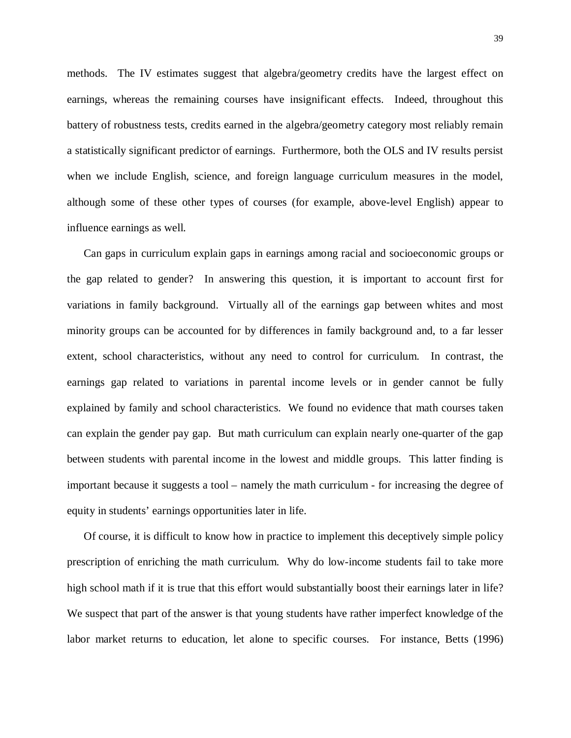methods. The IV estimates suggest that algebra/geometry credits have the largest effect on earnings, whereas the remaining courses have insignificant effects. Indeed, throughout this battery of robustness tests, credits earned in the algebra/geometry category most reliably remain a statistically significant predictor of earnings. Furthermore, both the OLS and IV results persist when we include English, science, and foreign language curriculum measures in the model, although some of these other types of courses (for example, above-level English) appear to influence earnings as well.

Can gaps in curriculum explain gaps in earnings among racial and socioeconomic groups or the gap related to gender? In answering this question, it is important to account first for variations in family background. Virtually all of the earnings gap between whites and most minority groups can be accounted for by differences in family background and, to a far lesser extent, school characteristics, without any need to control for curriculum. In contrast, the earnings gap related to variations in parental income levels or in gender cannot be fully explained by family and school characteristics. We found no evidence that math courses taken can explain the gender pay gap. But math curriculum can explain nearly one-quarter of the gap between students with parental income in the lowest and middle groups. This latter finding is important because it suggests a tool – namely the math curriculum - for increasing the degree of equity in students' earnings opportunities later in life.

Of course, it is difficult to know how in practice to implement this deceptively simple policy prescription of enriching the math curriculum. Why do low-income students fail to take more high school math if it is true that this effort would substantially boost their earnings later in life? We suspect that part of the answer is that young students have rather imperfect knowledge of the labor market returns to education, let alone to specific courses. For instance, Betts (1996)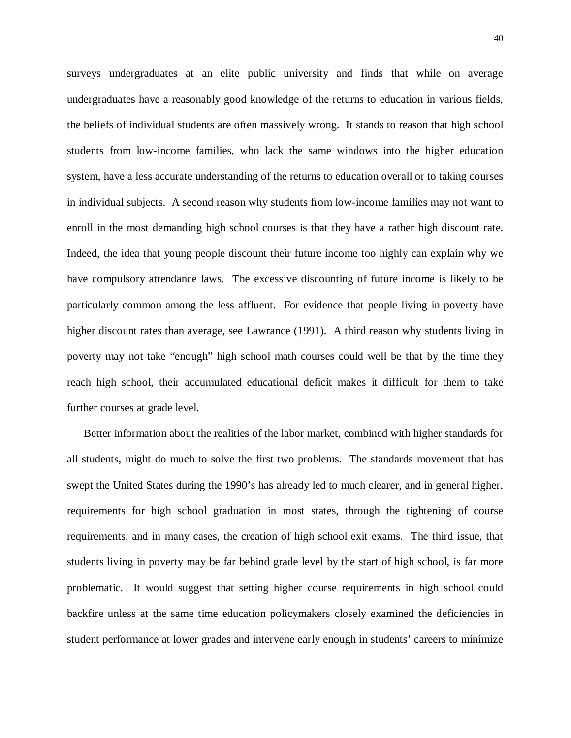surveys undergraduates at an elite public university and finds that while on average undergraduates have a reasonably good knowledge of the returns to education in various fields, the beliefs of individual students are often massively wrong. It stands to reason that high school students from low-income families, who lack the same windows into the higher education system, have a less accurate understanding of the returns to education overall or to taking courses in individual subjects. A second reason why students from low-income families may not want to enroll in the most demanding high school courses is that they have a rather high discount rate. Indeed, the idea that young people discount their future income too highly can explain why we have compulsory attendance laws. The excessive discounting of future income is likely to be particularly common among the less affluent. For evidence that people living in poverty have higher discount rates than average, see Lawrance (1991). A third reason why students living in poverty may not take "enough" high school math courses could well be that by the time they reach high school, their accumulated educational deficit makes it difficult for them to take further courses at grade level.

Better information about the realities of the labor market, combined with higher standards for all students, might do much to solve the first two problems. The standards movement that has swept the United States during the 1990's has already led to much clearer, and in general higher, requirements for high school graduation in most states, through the tightening of course requirements, and in many cases, the creation of high school exit exams. The third issue, that students living in poverty may be far behind grade level by the start of high school, is far more problematic. It would suggest that setting higher course requirements in high school could backfire unless at the same time education policymakers closely examined the deficiencies in student performance at lower grades and intervene early enough in students' careers to minimize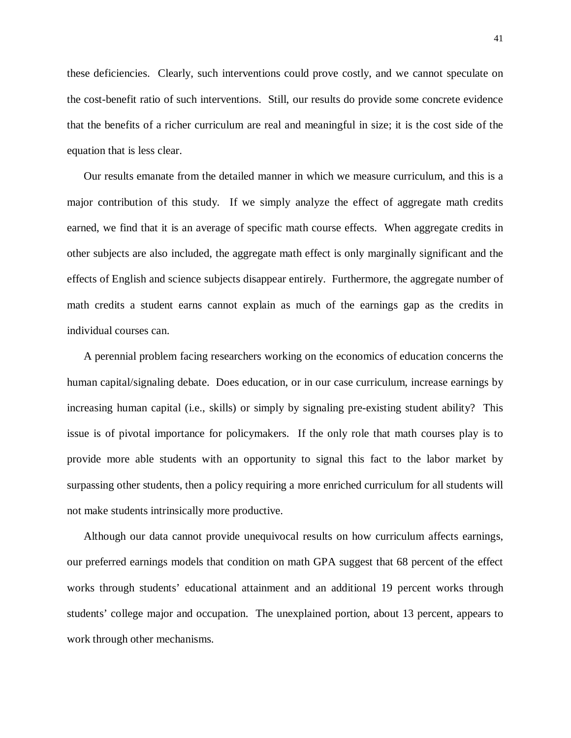these deficiencies. Clearly, such interventions could prove costly, and we cannot speculate on the cost-benefit ratio of such interventions. Still, our results do provide some concrete evidence that the benefits of a richer curriculum are real and meaningful in size; it is the cost side of the equation that is less clear.

Our results emanate from the detailed manner in which we measure curriculum, and this is a major contribution of this study. If we simply analyze the effect of aggregate math credits earned, we find that it is an average of specific math course effects. When aggregate credits in other subjects are also included, the aggregate math effect is only marginally significant and the effects of English and science subjects disappear entirely. Furthermore, the aggregate number of math credits a student earns cannot explain as much of the earnings gap as the credits in individual courses can.

A perennial problem facing researchers working on the economics of education concerns the human capital/signaling debate. Does education, or in our case curriculum, increase earnings by increasing human capital (i.e., skills) or simply by signaling pre-existing student ability? This issue is of pivotal importance for policymakers. If the only role that math courses play is to provide more able students with an opportunity to signal this fact to the labor market by surpassing other students, then a policy requiring a more enriched curriculum for all students will not make students intrinsically more productive.

Although our data cannot provide unequivocal results on how curriculum affects earnings, our preferred earnings models that condition on math GPA suggest that 68 percent of the effect works through students' educational attainment and an additional 19 percent works through students' college major and occupation. The unexplained portion, about 13 percent, appears to work through other mechanisms.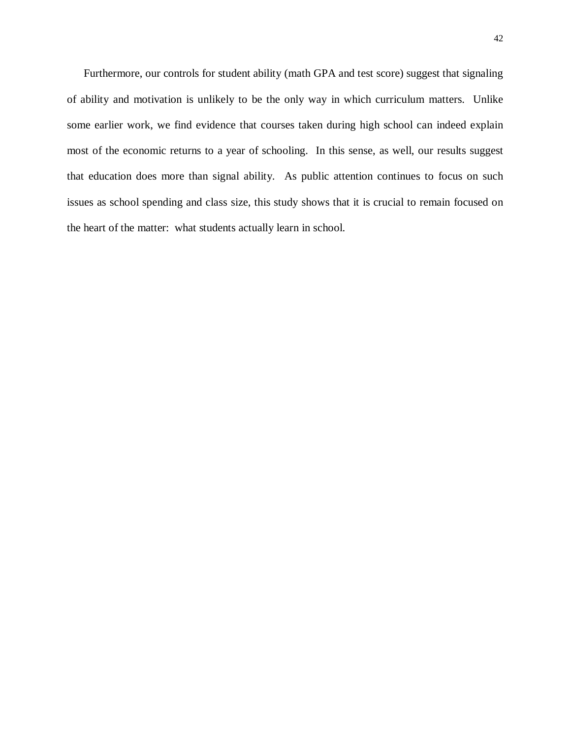Furthermore, our controls for student ability (math GPA and test score) suggest that signaling of ability and motivation is unlikely to be the only way in which curriculum matters. Unlike some earlier work, we find evidence that courses taken during high school can indeed explain most of the economic returns to a year of schooling. In this sense, as well, our results suggest that education does more than signal ability. As public attention continues to focus on such issues as school spending and class size, this study shows that it is crucial to remain focused on the heart of the matter: what students actually learn in school.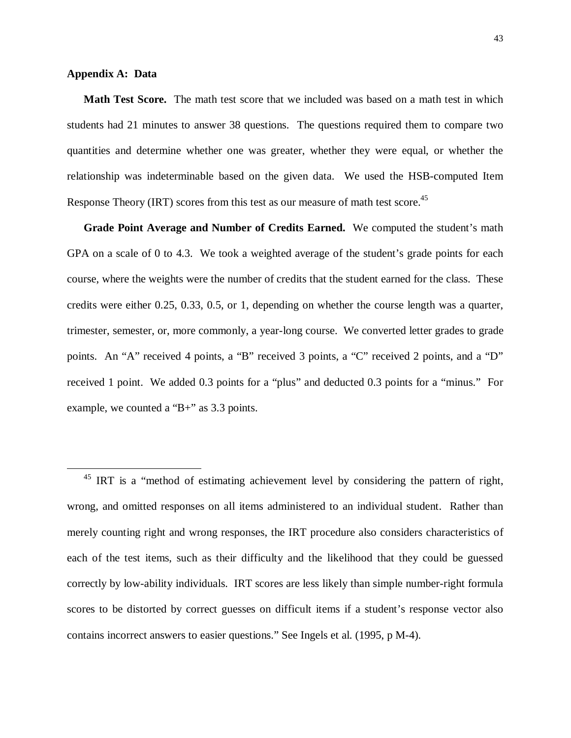# **Appendix A: Data**

**Math Test Score.** The math test score that we included was based on a math test in which students had 21 minutes to answer 38 questions. The questions required them to compare two quantities and determine whether one was greater, whether they were equal, or whether the relationship was indeterminable based on the given data. We used the HSB-computed Item Response Theory (IRT) scores from this test as our measure of math test score.<sup>45</sup>

**Grade Point Average and Number of Credits Earned.**We computed the student's math GPA on a scale of 0 to 4.3. We took a weighted average of the student's grade points for each course, where the weights were the number of credits that the student earned for the class. These credits were either 0.25, 0.33, 0.5, or 1, depending on whether the course length was a quarter, trimester, semester, or, more commonly, a year-long course. We converted letter grades to grade points. An "A" received 4 points, a "B" received 3 points, a "C" received 2 points, and a "D" received 1 point. We added 0.3 points for a "plus" and deducted 0.3 points for a "minus." For example, we counted a "B+" as 3.3 points.

<sup>&</sup>lt;sup>45</sup> IRT is a "method of estimating achievement level by considering the pattern of right, wrong, and omitted responses on all items administered to an individual student. Rather than merely counting right and wrong responses, the IRT procedure also considers characteristics of each of the test items, such as their difficulty and the likelihood that they could be guessed correctly by low-ability individuals. IRT scores are less likely than simple number-right formula scores to be distorted by correct guesses on difficult items if a student's response vector also contains incorrect answers to easier questions." See Ingels et al. (1995, p M-4).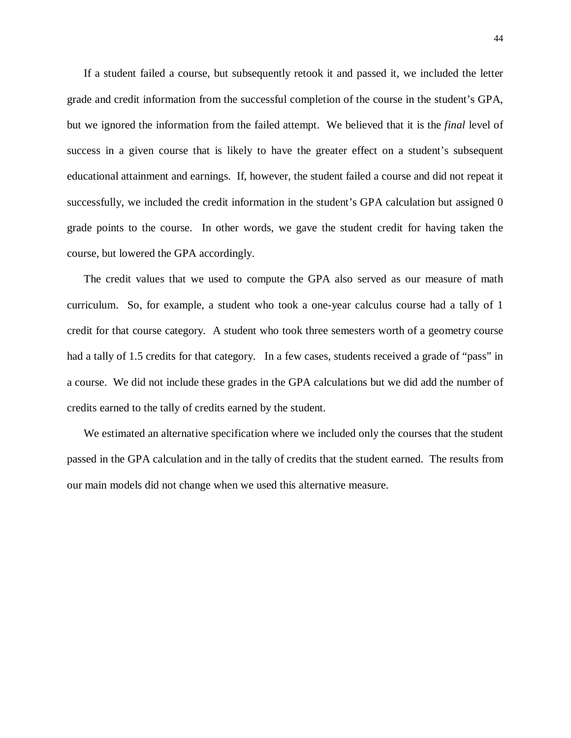If a student failed a course, but subsequently retook it and passed it, we included the letter grade and credit information from the successful completion of the course in the student's GPA, but we ignored the information from the failed attempt. We believed that it is the *final* level of success in a given course that is likely to have the greater effect on a student's subsequent educational attainment and earnings. If, however, the student failed a course and did not repeat it successfully, we included the credit information in the student's GPA calculation but assigned 0 grade points to the course. In other words, we gave the student credit for having taken the course, but lowered the GPA accordingly.

The credit values that we used to compute the GPA also served as our measure of math curriculum. So, for example, a student who took a one-year calculus course had a tally of 1 credit for that course category. A student who took three semesters worth of a geometry course had a tally of 1.5 credits for that category. In a few cases, students received a grade of "pass" in a course. We did not include these grades in the GPA calculations but we did add the number of credits earned to the tally of credits earned by the student.

 We estimated an alternative specification where we included only the courses that the student passed in the GPA calculation and in the tally of credits that the student earned. The results from our main models did not change when we used this alternative measure.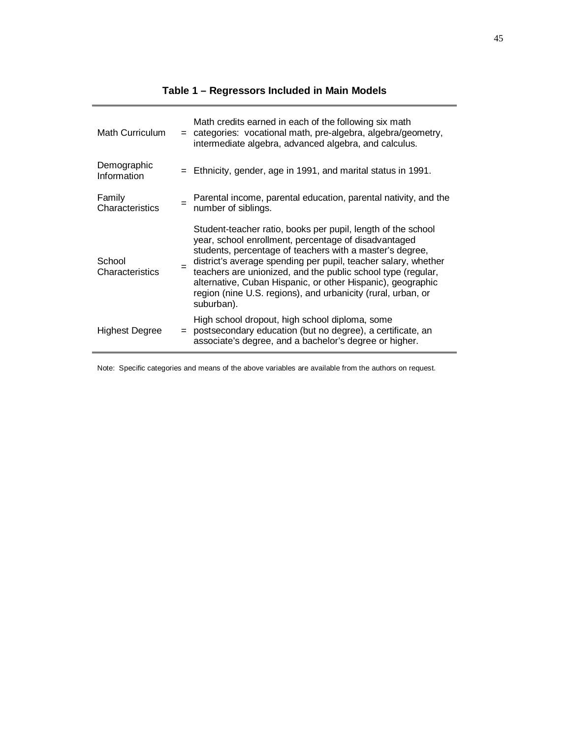| Math Curriculum            | $=$ | Math credits earned in each of the following six math<br>categories: vocational math, pre-algebra, algebra/geometry,<br>intermediate algebra, advanced algebra, and calculus.                                                                                                                                                                                                                                                                                   |
|----------------------------|-----|-----------------------------------------------------------------------------------------------------------------------------------------------------------------------------------------------------------------------------------------------------------------------------------------------------------------------------------------------------------------------------------------------------------------------------------------------------------------|
| Demographic<br>Information |     | Ethnicity, gender, age in 1991, and marital status in 1991.                                                                                                                                                                                                                                                                                                                                                                                                     |
| Family<br>Characteristics  |     | Parental income, parental education, parental nativity, and the<br>number of siblings.                                                                                                                                                                                                                                                                                                                                                                          |
| School<br>Characteristics  |     | Student-teacher ratio, books per pupil, length of the school<br>year, school enrollment, percentage of disadvantaged<br>students, percentage of teachers with a master's degree,<br>district's average spending per pupil, teacher salary, whether<br>teachers are unionized, and the public school type (regular,<br>alternative, Cuban Hispanic, or other Hispanic), geographic<br>region (nine U.S. regions), and urbanicity (rural, urban, or<br>suburban). |
| Highest Degree             | $=$ | High school dropout, high school diploma, some<br>postsecondary education (but no degree), a certificate, an<br>associate's degree, and a bachelor's degree or higher.                                                                                                                                                                                                                                                                                          |

# **Table 1 – Regressors Included in Main Models**

Note: Specific categories and means of the above variables are available from the authors on request.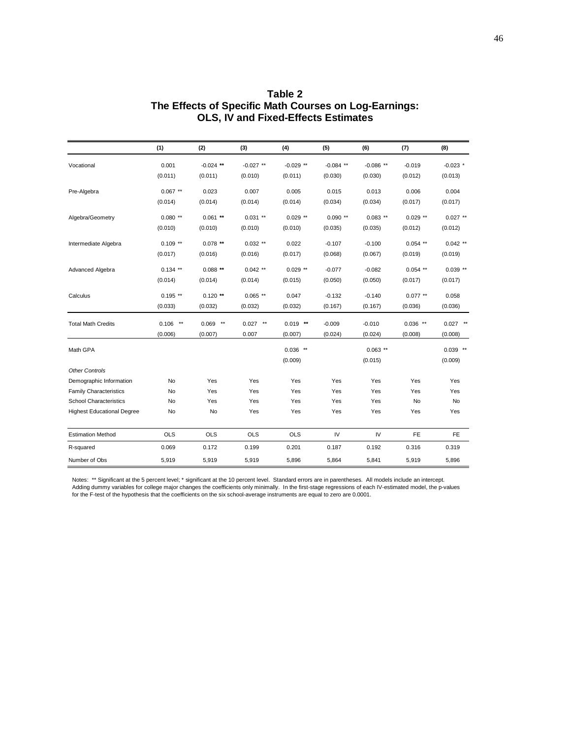|                                   | (1)                      | (2)         | (3)         | (4)         | (5)         | (6)         | (7)        | (8)        |
|-----------------------------------|--------------------------|-------------|-------------|-------------|-------------|-------------|------------|------------|
| Vocational                        | 0.001                    | $-0.024$ ** | $-0.027$ ** | $-0.029$ ** | $-0.084$ ** | $-0.086$ ** | $-0.019$   | $-0.023$ * |
|                                   | (0.011)                  | (0.011)     | (0.010)     | (0.011)     | (0.030)     | (0.030)     | (0.012)    | (0.013)    |
| Pre-Algebra                       | $0.067$ **               | 0.023       | 0.007       | 0.005       | 0.015       | 0.013       | 0.006      | 0.004      |
|                                   | (0.014)                  | (0.014)     | (0.014)     | (0.014)     | (0.034)     | (0.034)     | (0.017)    | (0.017)    |
| Algebra/Geometry                  | $0.080**$                | $0.061$ **  | $0.031$ **  | $0.029$ **  | $0.090**$   | $0.083$ **  | $0.029$ ** | $0.027$ ** |
|                                   | (0.010)                  | (0.010)     | (0.010)     | (0.010)     | (0.035)     | (0.035)     | (0.012)    | (0.012)    |
| Intermediate Algebra              | $0.109**$                | $0.078$ **  | $0.032**$   | 0.022       | $-0.107$    | $-0.100$    | $0.054$ ** | $0.042$ ** |
|                                   | (0.017)                  | (0.016)     | (0.016)     | (0.017)     | (0.068)     | (0.067)     | (0.019)    | (0.019)    |
| Advanced Algebra                  | $0.134$ **               | $0.088$ **  | $0.042$ **  | $0.029$ **  | $-0.077$    | $-0.082$    | $0.054$ ** | $0.039**$  |
|                                   | (0.014)                  | (0.014)     | (0.014)     | (0.015)     | (0.050)     | (0.050)     | (0.017)    | (0.017)    |
| Calculus                          | $0.195$ **               | $0.120$ **  | $0.065$ **  | 0.047       | $-0.132$    | $-0.140$    | $0.077$ ** | 0.058      |
|                                   | (0.033)                  | (0.032)     | (0.032)     | (0.032)     | (0.167)     | (0.167)     | (0.036)    | (0.036)    |
| <b>Total Math Credits</b>         | $^{\star\star}$<br>0.106 | $0.069$ **  | $0.027$ **  | $0.019$ **  | $-0.009$    | $-0.010$    | $0.036$ ** | $0.027$ ** |
|                                   | (0.006)                  | (0.007)     | 0.007       | (0.007)     | (0.024)     | (0.024)     | (0.008)    | (0.008)    |
| Math GPA                          |                          |             |             | $0.036$ **  |             | $0.063$ **  |            | $0.039$ ** |
|                                   |                          |             |             | (0.009)     |             | (0.015)     |            | (0.009)    |
| <b>Other Controls</b>             |                          |             |             |             |             |             |            |            |
| Demographic Information           | No                       | Yes         | Yes         | Yes         | Yes         | Yes         | Yes        | Yes        |
| <b>Family Characteristics</b>     | No                       | Yes         | Yes         | Yes         | Yes         | Yes         | Yes        | Yes        |
| <b>School Characteristics</b>     | No                       | Yes         | Yes         | Yes         | Yes         | Yes         | No         | No         |
| <b>Highest Educational Degree</b> | No                       | No          | Yes         | Yes         | Yes         | Yes         | Yes        | Yes        |
| <b>Estimation Method</b>          | <b>OLS</b>               | <b>OLS</b>  | <b>OLS</b>  | <b>OLS</b>  | IV          | IV          | FE         | <b>FE</b>  |
| R-squared                         | 0.069                    | 0.172       | 0.199       | 0.201       | 0.187       | 0.192       | 0.316      | 0.319      |
| Number of Obs                     | 5,919                    | 5,919       | 5,919       | 5,896       | 5,864       | 5,841       | 5,919      | 5,896      |

# **Table 2 The Effects of Specific Math Courses on Log-Earnings: OLS, IV and Fixed-Effects Estimates**

Notes: \*\* Significant at the 5 percent level; \* significant at the 10 percent level. Standard errors are in parentheses. All models include an intercept.<br>Adding dummy variables for college major changes the coefficients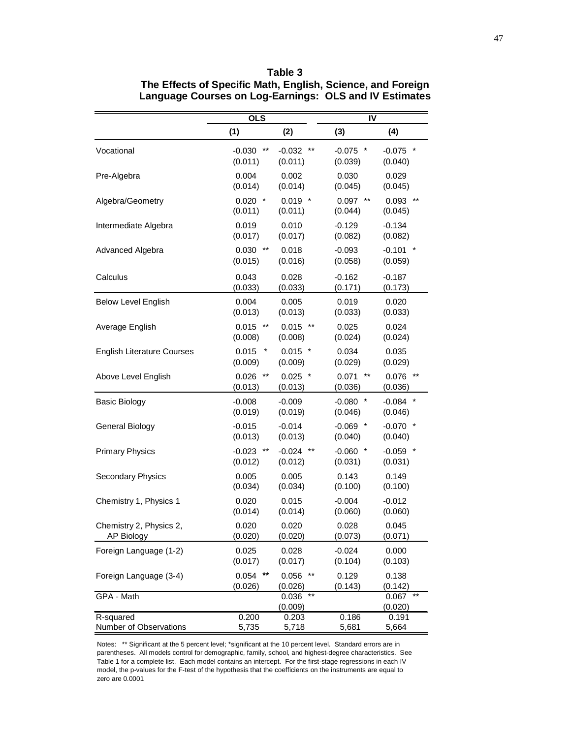|                                             | <b>OLS</b>                          |                              | $\overline{\mathsf{I}}$        |                                   |  |
|---------------------------------------------|-------------------------------------|------------------------------|--------------------------------|-----------------------------------|--|
|                                             | (1)                                 | (2)                          | (3)                            | (4)                               |  |
| Vocational                                  | $-0.030$<br>**<br>(0.011)           | $-0.032$<br>$***$<br>(0.011) | $-0.075$ *<br>(0.039)          | $-0.075$<br>*<br>(0.040)          |  |
| Pre-Algebra                                 | 0.004<br>(0.014)                    | 0.002<br>(0.014)             | 0.030<br>(0.045)               | 0.029<br>(0.045)                  |  |
| Algebra/Geometry                            | $0.020$ *<br>(0.011)                | $0.019$ *<br>(0.011)         | 0.097<br>$***$<br>(0.044)      | 0.093<br>(0.045)                  |  |
| Intermediate Algebra                        | 0.019<br>(0.017)                    | 0.010<br>(0.017)             | $-0.129$<br>(0.082)            | $-0.134$<br>(0.082)               |  |
| Advanced Algebra                            | 0.030<br>$***$<br>(0.015)           | 0.018<br>(0.016)             | $-0.093$<br>(0.058)            | $-0.101$<br>$\star$<br>(0.059)    |  |
| Calculus                                    | 0.043<br>(0.033)                    | 0.028<br>(0.033)             | $-0.162$<br>(0.171)            | $-0.187$<br>(0.173)               |  |
| <b>Below Level English</b>                  | 0.004<br>(0.013)                    | 0.005<br>(0.013)             | 0.019<br>(0.033)               | 0.020<br>(0.033)                  |  |
| Average English                             | 0.015<br>$***$<br>(0.008)           | 0.015<br>$***$<br>(0.008)    | 0.025<br>(0.024)               | 0.024<br>(0.024)                  |  |
| <b>English Literature Courses</b>           | 0.015<br>*<br>(0.009)               | $0.015$ *<br>(0.009)         | 0.034<br>(0.029)               | 0.035<br>(0.029)                  |  |
| Above Level English                         | 0.026<br>$^{\star\star}$<br>(0.013) | $0.025$ *<br>(0.013)         | 0.071<br>(0.036)               | 0.076<br>(0.036)                  |  |
| <b>Basic Biology</b>                        | $-0.008$<br>(0.019)                 | $-0.009$<br>(0.019)          | $-0.080$<br>$\star$<br>(0.046) | $-0.084$<br>(0.046)               |  |
| <b>General Biology</b>                      | $-0.015$<br>(0.013)                 | $-0.014$<br>(0.013)          | $-0.069$ *<br>(0.040)          | $-0.070$ *<br>(0.040)             |  |
| <b>Primary Physics</b>                      | $-0.023$<br>$***$<br>(0.012)        | $-0.024$ **<br>(0.012)       | $-0.060$ *<br>(0.031)          | $-0.059$ *<br>(0.031)             |  |
| <b>Secondary Physics</b>                    | 0.005<br>(0.034)                    | 0.005<br>(0.034)             | 0.143<br>(0.100)               | 0.149<br>(0.100)                  |  |
| Chemistry 1, Physics 1                      | 0.020<br>(0.014)                    | 0.015<br>(0.014)             | $-0.004$<br>(0.060)            | $-0.012$<br>(0.060)               |  |
| Chemistry 2, Physics 2<br><b>AP Biology</b> | 0.020<br>(0.020)                    | 0.020<br>(0.020)             | 0.028<br>(0.073)               | 0.045<br>(0.071)                  |  |
| Foreign Language (1-2)                      | 0.025<br>(0.017)                    | 0.028<br>(0.017)             | $-0.024$<br>(0.104)            | 0.000<br>(0.103)                  |  |
| Foreign Language (3-4)                      | $0.054$ **<br>(0.026)               | 0.056<br>$***$<br>(0.026)    | 0.129<br>(0.143)               | 0.138<br>(0.142)                  |  |
| GPA - Math                                  |                                     | $***$<br>0.036<br>(0.009)    |                                | 0.067<br>$^{\ast\ast}$<br>(0.020) |  |
| R-squared<br>Number of Observations         | 0.200<br>5,735                      | 0.203<br>5,718               | 0.186<br>5,681                 | 0.191<br>5,664                    |  |

**Table 3 The Effects of Specific Math, English, Science, and Foreign Language Courses on Log-Earnings: OLS and IV Estimates** 

Notes: \*\* Significant at the 5 percent level; \*significant at the 10 percent level. Standard errors are in parentheses. All models control for demographic, family, school, and highest-degree characteristics. See Table 1 for a complete list. Each model contains an intercept. For the first-stage regressions in each IV model, the p-values for the F-test of the hypothesis that the coefficients on the instruments are equal to zero are 0.0001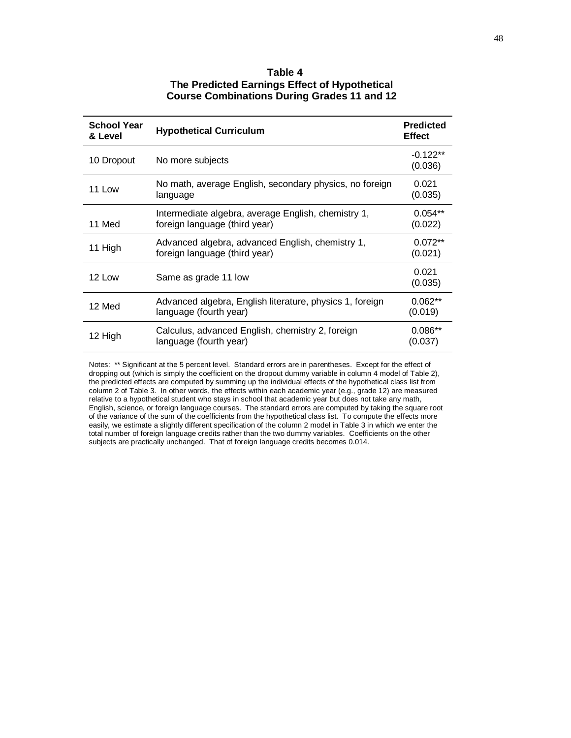| <b>School Year</b><br>& Level | <b>Hypothetical Curriculum</b>                                                       | <b>Predicted</b><br><b>Effect</b> |
|-------------------------------|--------------------------------------------------------------------------------------|-----------------------------------|
| 10 Dropout                    | No more subjects                                                                     | $-0.122**$<br>(0.036)             |
| 11 Low                        | No math, average English, secondary physics, no foreign<br>language                  | 0.021<br>(0.035)                  |
| 11 Med                        | Intermediate algebra, average English, chemistry 1,<br>foreign language (third year) | $0.054**$<br>(0.022)              |
| 11 High                       | Advanced algebra, advanced English, chemistry 1,<br>foreign language (third year)    | $0.072**$<br>(0.021)              |
| 12 Low                        | Same as grade 11 low                                                                 | 0.021<br>(0.035)                  |
| 12 Med                        | Advanced algebra, English literature, physics 1, foreign<br>language (fourth year)   | $0.062**$<br>(0.019)              |
| 12 High                       | Calculus, advanced English, chemistry 2, foreign<br>language (fourth year)           | $0.086**$<br>(0.037)              |

# **Table 4 The Predicted Earnings Effect of Hypothetical Course Combinations During Grades 11 and 12**

Notes: \*\* Significant at the 5 percent level. Standard errors are in parentheses. Except for the effect of dropping out (which is simply the coefficient on the dropout dummy variable in column 4 model of Table 2), the predicted effects are computed by summing up the individual effects of the hypothetical class list from column 2 of Table 3. In other words, the effects within each academic year (e.g., grade 12) are measured relative to a hypothetical student who stays in school that academic year but does not take any math, English, science, or foreign language courses. The standard errors are computed by taking the square root of the variance of the sum of the coefficients from the hypothetical class list. To compute the effects more easily, we estimate a slightly different specification of the column 2 model in Table 3 in which we enter the total number of foreign language credits rather than the two dummy variables. Coefficients on the other subjects are practically unchanged. That of foreign language credits becomes 0.014.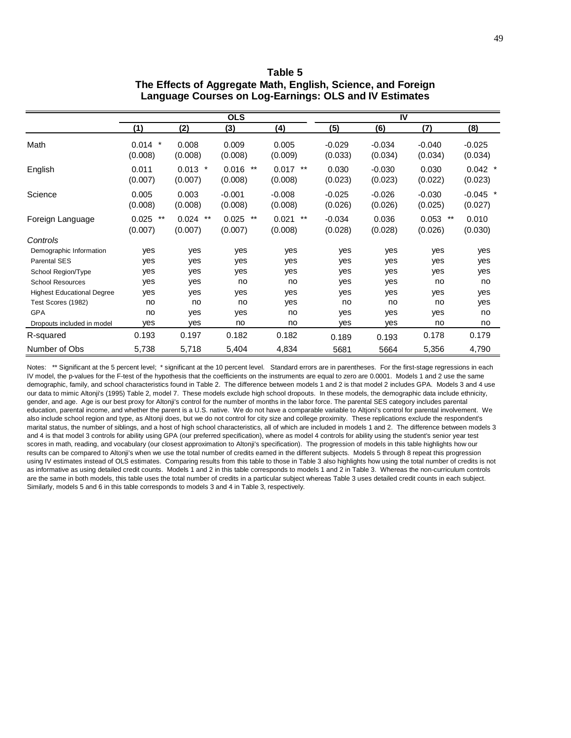|                                   | (1)                        | (2)                        | <b>OLS</b><br>(3)         | (4)                       | (5)                 | IV<br>(6)           | (7)                       | (8)                   |
|-----------------------------------|----------------------------|----------------------------|---------------------------|---------------------------|---------------------|---------------------|---------------------------|-----------------------|
| Math                              | 0.014<br>$\ast$<br>(0.008) | 0.008<br>(0.008)           | 0.009<br>(0.008)          | 0.005<br>(0.009)          | $-0.029$<br>(0.033) | $-0.034$<br>(0.034) | $-0.040$<br>(0.034)       | $-0.025$<br>(0.034)   |
| English                           | 0.011<br>(0.007)           | 0.013<br>$\ast$<br>(0.007) | 0.016<br>$***$<br>(0.008) | $***$<br>0.017<br>(0.008) | 0.030<br>(0.023)    | $-0.030$<br>(0.023) | 0.030<br>(0.022)          | $0.042$ *<br>(0.023)  |
| Science                           | 0.005<br>(0.008)           | 0.003<br>(0.008)           | $-0.001$<br>(0.008)       | $-0.008$<br>(0.008)       | $-0.025$<br>(0.026) | $-0.026$<br>(0.026) | $-0.030$<br>(0.025)       | $-0.045$ *<br>(0.027) |
| Foreign Language                  | $***$<br>0.025<br>(0.007)  | $0.024$ **<br>(0.007)      | $***$<br>0.025<br>(0.007) | 0.021<br>$***$<br>(0.008) | $-0.034$<br>(0.028) | 0.036<br>(0.028)    | 0.053<br>$***$<br>(0.026) | 0.010<br>(0.030)      |
| Controls                          |                            |                            |                           |                           |                     |                     |                           |                       |
| Demographic Information           | yes                        | yes                        | yes                       | yes                       | yes                 | yes                 | yes                       | yes                   |
| <b>Parental SES</b>               | yes                        | yes                        | yes                       | yes                       | yes                 | yes                 | yes                       | yes                   |
| School Region/Type                | yes                        | yes                        | yes                       | yes                       | yes                 | yes                 | yes                       | yes                   |
| <b>School Resources</b>           | yes                        | yes                        | no                        | no                        | yes                 | yes                 | no                        | no                    |
| <b>Highest Educational Degree</b> | yes                        | yes                        | yes                       | ves                       | ves                 | yes                 | yes                       | yes                   |
| Test Scores (1982)                | no                         | no                         | no                        | yes                       | no                  | no                  | no                        | yes                   |
| <b>GPA</b>                        | no                         | yes                        | yes                       | no                        | ves                 | yes                 | yes                       | no                    |
| Dropouts included in model        | yes                        | ves                        | no                        | no                        | yes                 | yes                 | no                        | no                    |
| R-squared                         | 0.193                      | 0.197                      | 0.182                     | 0.182                     | 0.189               | 0.193               | 0.178                     | 0.179                 |
| Number of Obs                     | 5,738                      | 5,718                      | 5,404                     | 4,834                     | 5681                | 5664                | 5,356                     | 4,790                 |

**Table 5 The Effects of Aggregate Math, English, Science, and Foreign Language Courses on Log-Earnings: OLS and IV Estimates** 

Notes: \*\* Significant at the 5 percent level; \* significant at the 10 percent level. Standard errors are in parentheses. For the first-stage regressions in each IV model, the p-values for the F-test of the hypothesis that the coefficients on the instruments are equal to zero are 0.0001. Models 1 and 2 use the same demographic, family, and school characteristics found in Table 2. The difference between models 1 and 2 is that model 2 includes GPA. Models 3 and 4 use our data to mimic Altonji's (1995) Table 2, model 7. These models exclude high school dropouts. In these models, the demographic data include ethnicity, gender, and age. Age is our best proxy for Altonji's control for the number of months in the labor force. The parental SES category includes parental education, parental income, and whether the parent is a U.S. native. We do not have a comparable variable to Altjoni's control for parental involvement. We also include school region and type, as Altonji does, but we do not control for city size and college proximity. These replications exclude the respondent's marital status, the number of siblings, and a host of high school characteristics, all of which are included in models 1 and 2. The difference between models 3 and 4 is that model 3 controls for ability using GPA (our preferred specification), where as model 4 controls for ability using the student's senior year test scores in math, reading, and vocabulary (our closest approximation to Altonji's specification). The progression of models in this table highlights how our results can be compared to Altonji's when we use the total number of credits earned in the different subjects. Models 5 through 8 repeat this progression using IV estimates instead of OLS estimates. Comparing results from this table to those in Table 3 also highlights how using the total number of credits is not as informative as using detailed credit counts. Models 1 and 2 in this table corresponds to models 1 and 2 in Table 3. Whereas the non-curriculum controls are the same in both models, this table uses the total number of credits in a particular subject whereas Table 3 uses detailed credit counts in each subject. Similarly, models 5 and 6 in this table corresponds to models 3 and 4 in Table 3, respectively.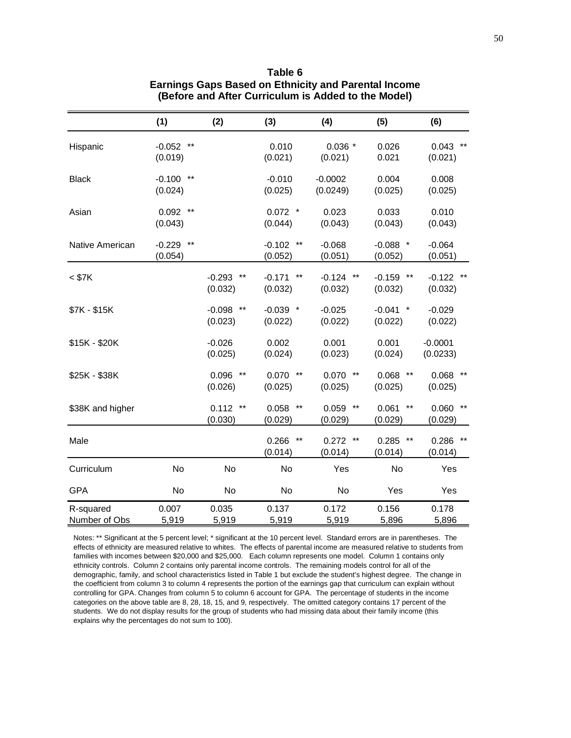|                            | (1)                          | (2)                       | (3)                          | (4)                       | (5)                                 | (6)                          |
|----------------------------|------------------------------|---------------------------|------------------------------|---------------------------|-------------------------------------|------------------------------|
| Hispanic                   | $-0.052$<br>$***$<br>(0.019) |                           | 0.010<br>(0.021)             | $0.036$ *<br>(0.021)      | 0.026<br>0.021                      | 0.043<br>(0.021)             |
| <b>Black</b>               | $-0.100$ **<br>(0.024)       |                           | $-0.010$<br>(0.025)          | $-0.0002$<br>(0.0249)     | 0.004<br>(0.025)                    | 0.008<br>(0.025)             |
| Asian                      | $0.092$ **<br>(0.043)        |                           | $0.072$ *<br>(0.044)         | 0.023<br>(0.043)          | 0.033<br>(0.043)                    | 0.010<br>(0.043)             |
| Native American            | $-0.229$ **<br>(0.054)       |                           | $-0.102$ **<br>(0.052)       | $-0.068$<br>(0.051)       | $-0.088$ *<br>(0.052)               | $-0.064$<br>(0.051)          |
| $<$ \$7 $K$                |                              | $-0.293$ **<br>(0.032)    | $***$<br>$-0.171$<br>(0.032) | $-0.124$ **<br>(0.032)    | $-0.159$ **<br>(0.032)              | $***$<br>$-0.122$<br>(0.032) |
| \$7K - \$15K               |                              | $-0.098$ **<br>(0.023)    | $-0.039$ *<br>(0.022)        | $-0.025$<br>(0.022)       | $-0.041$ *<br>(0.022)               | $-0.029$<br>(0.022)          |
| $$15K - $20K$              |                              | $-0.026$<br>(0.025)       | 0.002<br>(0.024)             | 0.001<br>(0.023)          | 0.001<br>(0.024)                    | $-0.0001$<br>(0.0233)        |
| \$25K - \$38K              |                              | 0.096<br>$***$<br>(0.026) | $***$<br>0.070<br>(0.025)    | $0.070$ **<br>(0.025)     | $***$<br>0.068<br>(0.025)           | $***$<br>0.068<br>(0.025)    |
| \$38K and higher           |                              | $0.112$ **<br>(0.030)     | $***$<br>0.058<br>(0.029)    | $0.059$ **<br>(0.029)     | $^{\star\star}$<br>0.061<br>(0.029) | $***$<br>0.060<br>(0.029)    |
| Male                       |                              |                           | 0.266<br>$***$<br>(0.014)    | 0.272<br>$***$<br>(0.014) | 0.285<br>$***$<br>(0.014)           | $***$<br>0.286<br>(0.014)    |
| Curriculum                 | No                           | No                        | No                           | Yes                       | No                                  | Yes                          |
| <b>GPA</b>                 | No                           | No                        | No                           | No                        | Yes                                 | Yes                          |
| R-squared<br>Number of Obs | 0.007<br>5,919               | 0.035<br>5,919            | 0.137<br>5,919               | 0.172<br>5,919            | 0.156<br>5,896                      | 0.178<br>5,896               |

**Table 6 Earnings Gaps Based on Ethnicity and Parental Income (Before and After Curriculum is Added to the Model)** 

Notes: \*\* Significant at the 5 percent level; \* significant at the 10 percent level. Standard errors are in parentheses. The effects of ethnicity are measured relative to whites. The effects of parental income are measured relative to students from families with incomes between \$20,000 and \$25,000. Each column represents one model. Column 1 contains only ethnicity controls. Column 2 contains only parental income controls. The remaining models control for all of the demographic, family, and school characteristics listed in Table 1 but exclude the student's highest degree. The change in the coefficient from column 3 to column 4 represents the portion of the earnings gap that curriculum can explain without controlling for GPA. Changes from column 5 to column 6 account for GPA. The percentage of students in the income categories on the above table are 8, 28, 18, 15, and 9, respectively. The omitted category contains 17 percent of the students. We do not display results for the group of students who had missing data about their family income (this explains why the percentages do not sum to 100).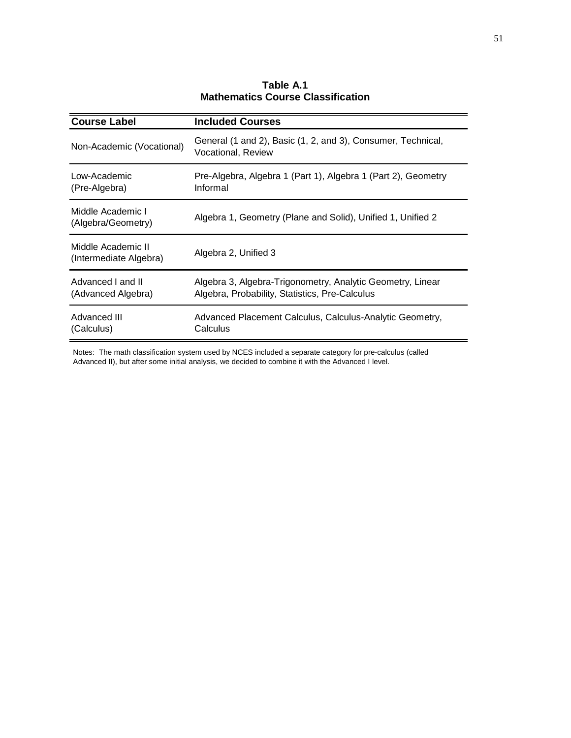| <b>Course Label</b>                          | <b>Included Courses</b>                                                                                      |
|----------------------------------------------|--------------------------------------------------------------------------------------------------------------|
| Non-Academic (Vocational)                    | General (1 and 2), Basic (1, 2, and 3), Consumer, Technical,<br>Vocational, Review                           |
| Low-Academic<br>(Pre-Algebra)                | Pre-Algebra, Algebra 1 (Part 1), Algebra 1 (Part 2), Geometry<br>Informal                                    |
| Middle Academic I<br>(Algebra/Geometry)      | Algebra 1, Geometry (Plane and Solid), Unified 1, Unified 2                                                  |
| Middle Academic II<br>(Intermediate Algebra) | Algebra 2, Unified 3                                                                                         |
| Advanced I and II<br>(Advanced Algebra)      | Algebra 3, Algebra-Trigonometry, Analytic Geometry, Linear<br>Algebra, Probability, Statistics, Pre-Calculus |
| Advanced III<br>(Calculus)                   | Advanced Placement Calculus, Calculus-Analytic Geometry,<br>Calculus                                         |

**Table A.1 Mathematics Course Classification** 

Notes: The math classification system used by NCES included a separate category for pre-calculus (called Advanced II), but after some initial analysis, we decided to combine it with the Advanced I level.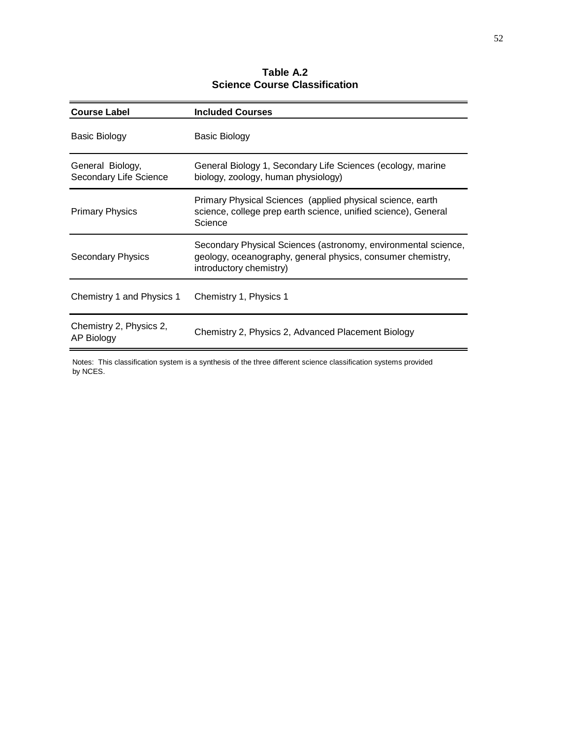# **Table A.2 Science Course Classification**

| <b>Course Label</b>                        | <b>Included Courses</b>                                                                                                                                  |
|--------------------------------------------|----------------------------------------------------------------------------------------------------------------------------------------------------------|
| Basic Biology                              | Basic Biology                                                                                                                                            |
| General Biology,<br>Secondary Life Science | General Biology 1, Secondary Life Sciences (ecology, marine<br>biology, zoology, human physiology)                                                       |
| <b>Primary Physics</b>                     | Primary Physical Sciences (applied physical science, earth<br>science, college prep earth science, unified science), General<br>Science                  |
| <b>Secondary Physics</b>                   | Secondary Physical Sciences (astronomy, environmental science,<br>geology, oceanography, general physics, consumer chemistry,<br>introductory chemistry) |
| Chemistry 1 and Physics 1                  | Chemistry 1, Physics 1                                                                                                                                   |
| Chemistry 2, Physics 2,<br>AP Biology      | Chemistry 2, Physics 2, Advanced Placement Biology                                                                                                       |

Notes: This classification system is a synthesis of the three different science classification systems provided by NCES.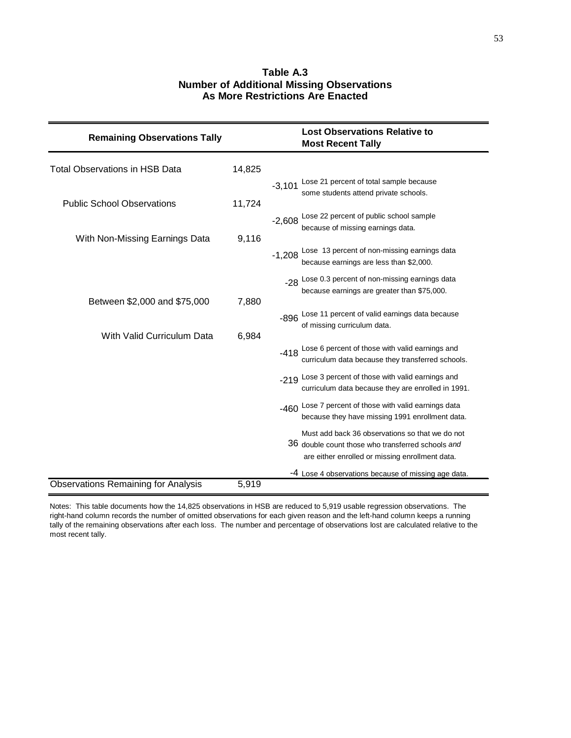# **Table A.3 Number of Additional Missing Observations As More Restrictions Are Enacted**

| <b>Remaining Observations Tally</b>        |        | <b>Lost Observations Relative to</b><br><b>Most Recent Tally</b>                                               |
|--------------------------------------------|--------|----------------------------------------------------------------------------------------------------------------|
| <b>Total Observations in HSB Data</b>      | 14,825 |                                                                                                                |
|                                            |        | Lose 21 percent of total sample because<br>$-3,101$<br>some students attend private schools.                   |
| <b>Public School Observations</b>          | 11,724 | -2,608 Lose 22 percent of public school sample<br>because of missing earnings data.                            |
| With Non-Missing Earnings Data             | 9,116  |                                                                                                                |
|                                            |        | -1,208 Lose 13 percent of non-missing earnings data<br>because earnings are less than \$2,000.                 |
|                                            |        | -28 Lose 0.3 percent of non-missing earnings data<br>because earnings are greater than \$75,000.               |
| Between \$2,000 and \$75,000               | 7,880  |                                                                                                                |
|                                            |        | -896 Lose 11 percent of valid earnings data because<br>of missing curriculum data.                             |
| With Valid Curriculum Data                 | 6,984  |                                                                                                                |
|                                            |        | Lose 6 percent of those with valid earnings and<br>$-418$<br>curriculum data because they transferred schools. |
|                                            |        | -219 Lose 3 percent of those with valid earnings and<br>curriculum data because they are enrolled in 1991.     |
|                                            |        | Lose 7 percent of those with valid earnings data<br>$-460$<br>because they have missing 1991 enrollment data.  |
|                                            |        | Must add back 36 observations so that we do not<br>36 double count those who transferred schools and           |
|                                            |        | are either enrolled or missing enrollment data.                                                                |
|                                            |        | -4 Lose 4 observations because of missing age data.                                                            |
| <b>Observations Remaining for Analysis</b> | 5,919  |                                                                                                                |

Notes: This table documents how the 14,825 observations in HSB are reduced to 5,919 usable regression observations. The right-hand column records the number of omitted observations for each given reason and the left-hand column keeps a running tally of the remaining observations after each loss. The number and percentage of observations lost are calculated relative to the most recent tally.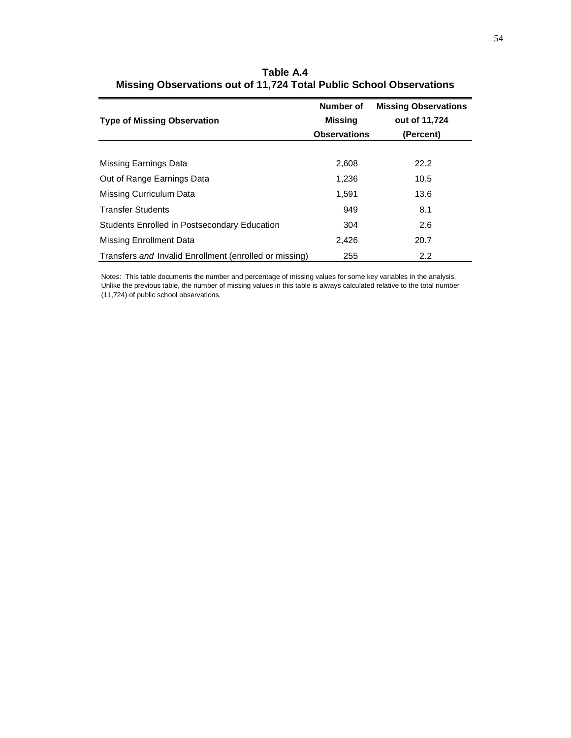|                                                        | Number of           | <b>Missing Observations</b> |
|--------------------------------------------------------|---------------------|-----------------------------|
| <b>Type of Missing Observation</b>                     | <b>Missing</b>      | out of 11,724               |
|                                                        | <b>Observations</b> | (Percent)                   |
|                                                        |                     |                             |
| Missing Earnings Data                                  | 2,608               | 22.2                        |
| Out of Range Earnings Data                             | 1,236               | 10.5                        |
| Missing Curriculum Data                                | 1.591               | 13.6                        |
| <b>Transfer Students</b>                               | 949                 | 8.1                         |
| Students Enrolled in Postsecondary Education           | 304                 | 2.6                         |
| Missing Enrollment Data                                | 2,426               | 20.7                        |
| Transfers and Invalid Enrollment (enrolled or missing) | 255                 | 2.2                         |

**Table A.4 Missing Observations out of 11,724 Total Public School Observations** 

Notes: This table documents the number and percentage of missing values for some key variables in the analysis. Unlike the previous table, the number of missing values in this table is always calculated relative to the total number (11,724) of public school observations.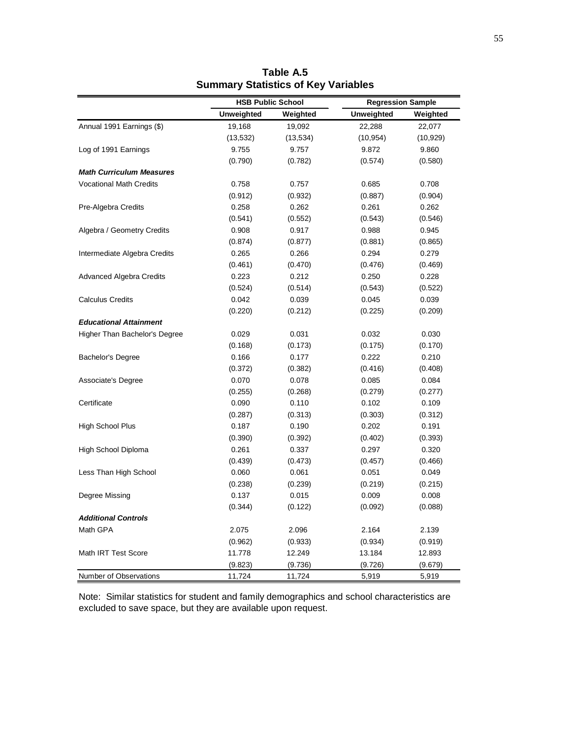|                                 |                   | <b>HSB Public School</b> |                   | <b>Regression Sample</b> |  |  |
|---------------------------------|-------------------|--------------------------|-------------------|--------------------------|--|--|
|                                 | <b>Unweighted</b> | Weighted                 | <b>Unweighted</b> | Weighted                 |  |  |
| Annual 1991 Earnings (\$)       | 19,168            | 19,092                   | 22,288            | 22,077                   |  |  |
|                                 | (13, 532)         | (13, 534)                | (10, 954)         | (10, 929)                |  |  |
| Log of 1991 Earnings            | 9.755             | 9.757                    | 9.872             | 9.860                    |  |  |
|                                 | (0.790)           | (0.782)                  | (0.574)           | (0.580)                  |  |  |
| <b>Math Curriculum Measures</b> |                   |                          |                   |                          |  |  |
| <b>Vocational Math Credits</b>  | 0.758             | 0.757                    | 0.685             | 0.708                    |  |  |
|                                 | (0.912)           | (0.932)                  | (0.887)           | (0.904)                  |  |  |
| Pre-Algebra Credits             | 0.258             | 0.262                    | 0.261             | 0.262                    |  |  |
|                                 | (0.541)           | (0.552)                  | (0.543)           | (0.546)                  |  |  |
| Algebra / Geometry Credits      | 0.908             | 0.917                    | 0.988             | 0.945                    |  |  |
|                                 | (0.874)           | (0.877)                  | (0.881)           | (0.865)                  |  |  |
| Intermediate Algebra Credits    | 0.265             | 0.266                    | 0.294             | 0.279                    |  |  |
|                                 | (0.461)           | (0.470)                  | (0.476)           | (0.469)                  |  |  |
| <b>Advanced Algebra Credits</b> | 0.223             | 0.212                    | 0.250             | 0.228                    |  |  |
|                                 | (0.524)           | (0.514)                  | (0.543)           | (0.522)                  |  |  |
| <b>Calculus Credits</b>         | 0.042             | 0.039                    | 0.045             | 0.039                    |  |  |
|                                 | (0.220)           | (0.212)                  | (0.225)           | (0.209)                  |  |  |
| <b>Educational Attainment</b>   |                   |                          |                   |                          |  |  |
| Higher Than Bachelor's Degree   | 0.029             | 0.031                    | 0.032             | 0.030                    |  |  |
|                                 | (0.168)           | (0.173)                  | (0.175)           | (0.170)                  |  |  |
| <b>Bachelor's Degree</b>        | 0.166             | 0.177                    | 0.222             | 0.210                    |  |  |
|                                 | (0.372)           | (0.382)                  | (0.416)           | (0.408)                  |  |  |
| Associate's Degree              | 0.070             | 0.078                    | 0.085             | 0.084                    |  |  |
|                                 | (0.255)           | (0.268)                  | (0.279)           | (0.277)                  |  |  |
| Certificate                     | 0.090             | 0.110                    | 0.102             | 0.109                    |  |  |
|                                 | (0.287)           | (0.313)                  | (0.303)           | (0.312)                  |  |  |
| High School Plus                | 0.187             | 0.190                    | 0.202             | 0.191                    |  |  |
|                                 | (0.390)           | (0.392)                  | (0.402)           | (0.393)                  |  |  |
| High School Diploma             | 0.261             | 0.337                    | 0.297             | 0.320                    |  |  |
|                                 | (0.439)           | (0.473)                  | (0.457)           | (0.466)                  |  |  |
| Less Than High School           | 0.060             | 0.061                    | 0.051             | 0.049                    |  |  |
|                                 | (0.238)           | (0.239)                  | (0.219)           | (0.215)                  |  |  |
| Degree Missing                  | 0.137             | 0.015                    | 0.009             | 0.008                    |  |  |
|                                 | (0.344)           | (0.122)                  | (0.092)           | (0.088)                  |  |  |
| <b>Additional Controls</b>      |                   |                          |                   |                          |  |  |
| Math GPA                        | 2.075             | 2.096                    | 2.164             | 2.139                    |  |  |
|                                 | (0.962)           | (0.933)                  | (0.934)           | (0.919)                  |  |  |
| Math IRT Test Score             | 11.778            | 12.249                   | 13.184            | 12.893                   |  |  |
|                                 | (9.823)           | (9.736)                  | (9.726)           | (9.679)                  |  |  |
| Number of Observations          | 11,724            | 11,724                   | 5,919             | 5,919                    |  |  |

**Table A.5 Summary Statistics of Key Variables** 

Note: Similar statistics for student and family demographics and school characteristics are excluded to save space, but they are available upon request.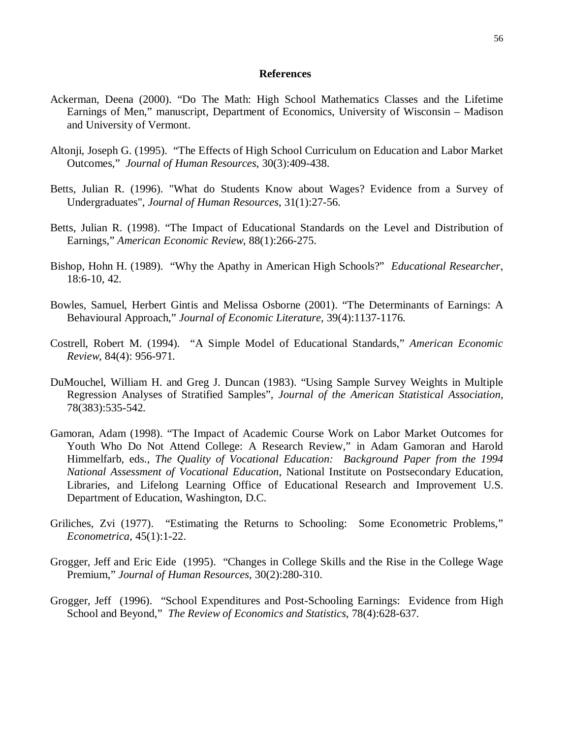#### **References**

- Ackerman, Deena (2000). "Do The Math: High School Mathematics Classes and the Lifetime Earnings of Men," manuscript, Department of Economics, University of Wisconsin – Madison and University of Vermont.
- Altonji, Joseph G. (1995). "The Effects of High School Curriculum on Education and Labor Market Outcomes," *Journal of Human Resources*, 30(3):409-438.
- Betts, Julian R. (1996). "What do Students Know about Wages? Evidence from a Survey of Undergraduates", *Journal of Human Resources*, 31(1):27-56.
- Betts, Julian R. (1998). "The Impact of Educational Standards on the Level and Distribution of Earnings," *American Economic Review*, 88(1):266-275.
- Bishop, Hohn H. (1989). "Why the Apathy in American High Schools?" *Educational Researcher*, 18:6-10, 42.
- Bowles, Samuel, Herbert Gintis and Melissa Osborne (2001). "The Determinants of Earnings: A Behavioural Approach," *Journal of Economic Literature,* 39(4):1137-1176.
- Costrell, Robert M. (1994). "A Simple Model of Educational Standards," *American Economic Review*, 84(4): 956-971.
- DuMouchel, William H. and Greg J. Duncan (1983). "Using Sample Survey Weights in Multiple Regression Analyses of Stratified Samples", *Journal of the American Statistical Association*, 78(383):535-542.
- Gamoran, Adam (1998). "The Impact of Academic Course Work on Labor Market Outcomes for Youth Who Do Not Attend College: A Research Review," in Adam Gamoran and Harold Himmelfarb, eds., *The Quality of Vocational Education: Background Paper from the 1994 National Assessment of Vocational Education*, National Institute on Postsecondary Education, Libraries, and Lifelong Learning Office of Educational Research and Improvement U.S. Department of Education, Washington, D.C.
- Griliches, Zvi (1977). "Estimating the Returns to Schooling: Some Econometric Problems," *Econometrica*, 45(1):1-22.
- Grogger, Jeff and Eric Eide (1995). "Changes in College Skills and the Rise in the College Wage Premium," *Journal of Human Resources*, 30(2):280-310.
- Grogger, Jeff (1996). "School Expenditures and Post-Schooling Earnings: Evidence from High School and Beyond," *The Review of Economics and Statistics*, 78(4):628-637.